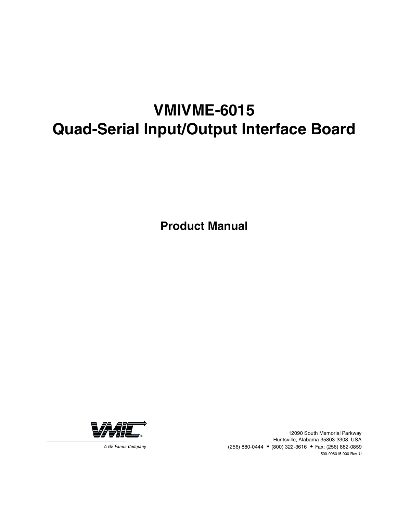# **VMIVME-6015 Quad-Serial Input/Output Interface Board**

**Product Manual**



12090 South Memorial Parkway Huntsville, Alabama 35803-3308, USA  $(256) 880 - 0444$  (800) 322-3616 + Fax: (256) 882-0859 500-006015-000 Rev. U

A GE Fanuc Company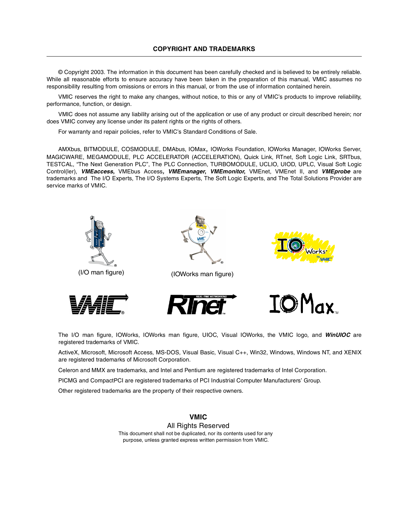© Copyright 2003. The information in this document has been carefully checked and is believed to be entirely reliable. While all reasonable efforts to ensure accuracy have been taken in the preparation of this manual, VMIC assumes no responsibility resulting from omissions or errors in this manual, or from the use of information contained herein.

VMIC reserves the right to make any changes, without notice, to this or any of VMIC's products to improve reliability, performance, function, or design.

VMIC does not assume any liability arising out of the application or use of any product or circuit described herein; nor does VMIC convey any license under its patent rights or the rights of others.

For warranty and repair policies, refer to VMIC's Standard Conditions of Sale.

AMXbus, BITMODULE, COSMODULE, DMAbus, IOMax, IOWorks Foundation, IOWorks Manager, IOWorks Server, MAGICWARE, MEGAMODULE, PLC ACCELERATOR (ACCELERATION), Quick Link, RTnet, Soft Logic Link, SRTbus, TESTCAL, "The Next Generation PLC", The PLC Connection, TURBOMODULE, UCLIO, UIOD, UPLC, Visual Soft Logic Control(ler), *VMEaccess***,** VMEbus Access*, VMEmanager***,** *VMEmonitor***,** VMEnet, VMEnet II, and *VMEprobe* are trademarks and The I/O Experts, The I/O Systems Experts, The Soft Logic Experts, and The Total Solutions Provider are service marks of VMIC.







(I/O man figure) (IOWorks man figure)







The I/O man figure, IOWorks, IOWorks man figure, UIOC, Visual IOWorks, the VMIC logo, and *WinUIOC* are registered trademarks of VMIC.

ActiveX, Microsoft, Microsoft Access, MS-DOS, Visual Basic, Visual C++, Win32, Windows, Windows NT, and XENIX are registered trademarks of Microsoft Corporation.

Celeron and MMX are trademarks, and Intel and Pentium are registered trademarks of Intel Corporation.

PICMG and CompactPCI are registered trademarks of PCI Industrial Computer Manufacturers' Group.

Other registered trademarks are the property of their respective owners.

**VMIC** All Rights Reserved This document shall not be duplicated, nor its contents used for any purpose, unless granted express written permission from VMIC.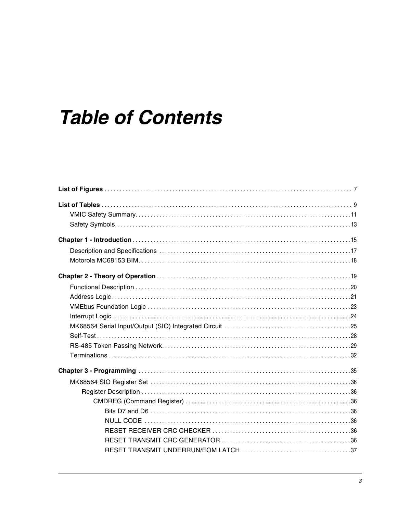# <span id="page-2-0"></span>**Table of Contents**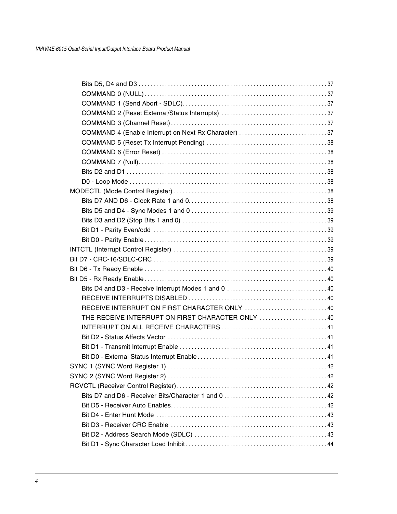| COMMAND 4 (Enable Interrupt on Next Rx Character) 37 |  |
|------------------------------------------------------|--|
|                                                      |  |
|                                                      |  |
|                                                      |  |
|                                                      |  |
|                                                      |  |
|                                                      |  |
|                                                      |  |
|                                                      |  |
|                                                      |  |
|                                                      |  |
|                                                      |  |
|                                                      |  |
|                                                      |  |
|                                                      |  |
|                                                      |  |
|                                                      |  |
|                                                      |  |
| RECEIVE INTERRUPT ON FIRST CHARACTER ONLY 40         |  |
| THE RECEIVE INTERRUPT ON FIRST CHARACTER ONLY 40     |  |
|                                                      |  |
|                                                      |  |
|                                                      |  |
|                                                      |  |
|                                                      |  |
|                                                      |  |
|                                                      |  |
|                                                      |  |
|                                                      |  |
|                                                      |  |
|                                                      |  |
|                                                      |  |
|                                                      |  |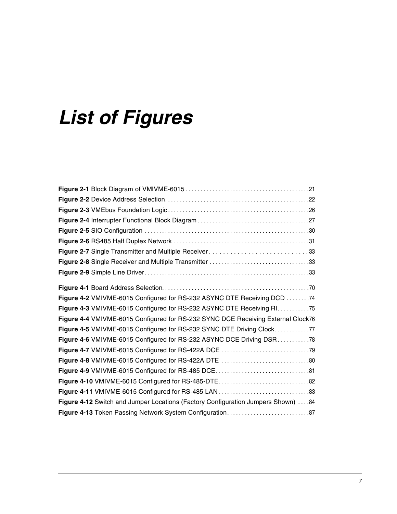# <span id="page-6-0"></span>*List of Figures*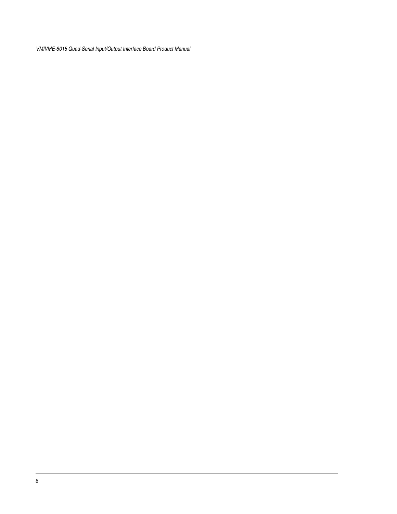*VMIVME-6015 Quad-Serial Input/Output Interface Board Product Manual*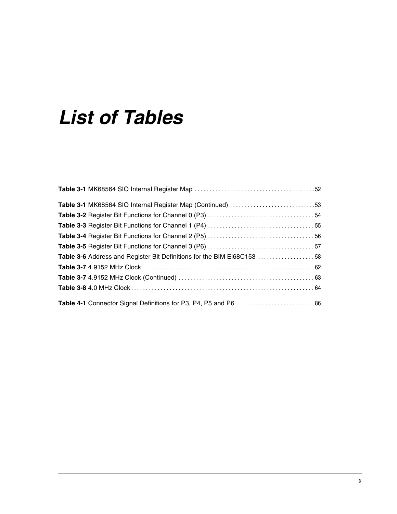# <span id="page-8-0"></span>*List of Tables*

| Table 3-1 MK68564 SIO Internal Register Map (Continued) 53              |  |
|-------------------------------------------------------------------------|--|
|                                                                         |  |
|                                                                         |  |
|                                                                         |  |
|                                                                         |  |
| Table 3-6 Address and Register Bit Definitions for the BIM Ei68C153  58 |  |
|                                                                         |  |
|                                                                         |  |
|                                                                         |  |
|                                                                         |  |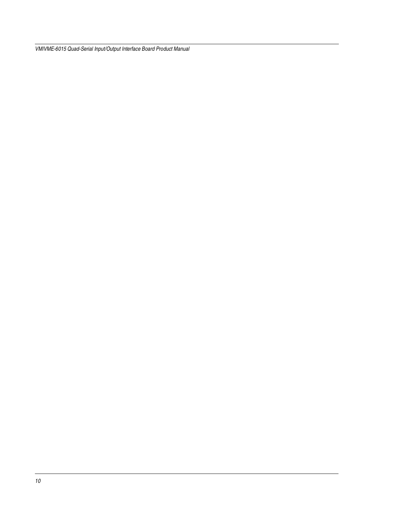*VMIVME-6015 Quad-Serial Input/Output Interface Board Product Manual*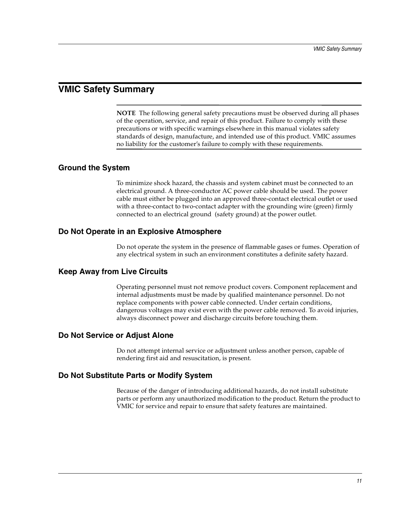### <span id="page-10-0"></span>**VMIC Safety Summary**

**NOTE** The following general safety precautions must be observed during all phases of the operation, service, and repair of this product. Failure to comply with these precautions or with specific warnings elsewhere in this manual violates safety standards of design, manufacture, and intended use of this product. VMIC assumes no liability for the customer's failure to comply with these requirements.

#### **Ground the System**

To minimize shock hazard, the chassis and system cabinet must be connected to an electrical ground. A three-conductor AC power cable should be used. The power cable must either be plugged into an approved three-contact electrical outlet or used with a three-contact to two-contact adapter with the grounding wire (green) firmly connected to an electrical ground (safety ground) at the power outlet.

#### **Do Not Operate in an Explosive Atmosphere**

Do not operate the system in the presence of flammable gases or fumes. Operation of any electrical system in such an environment constitutes a definite safety hazard.

#### **Keep Away from Live Circuits**

Operating personnel must not remove product covers. Component replacement and internal adjustments must be made by qualified maintenance personnel. Do not replace components with power cable connected. Under certain conditions, dangerous voltages may exist even with the power cable removed. To avoid injuries, always disconnect power and discharge circuits before touching them.

#### **Do Not Service or Adjust Alone**

Do not attempt internal service or adjustment unless another person, capable of rendering first aid and resuscitation, is present.

#### **Do Not Substitute Parts or Modify System**

Because of the danger of introducing additional hazards, do not install substitute parts or perform any unauthorized modification to the product. Return the product to VMIC for service and repair to ensure that safety features are maintained.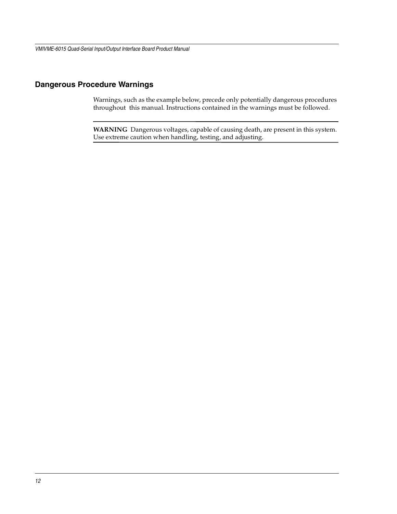#### **Dangerous Procedure Warnings**

Warnings, such as the example below, precede only potentially dangerous procedures throughout this manual. Instructions contained in the warnings must be followed.

**WARNING** Dangerous voltages, capable of causing death, are present in this system. Use extreme caution when handling, testing, and adjusting.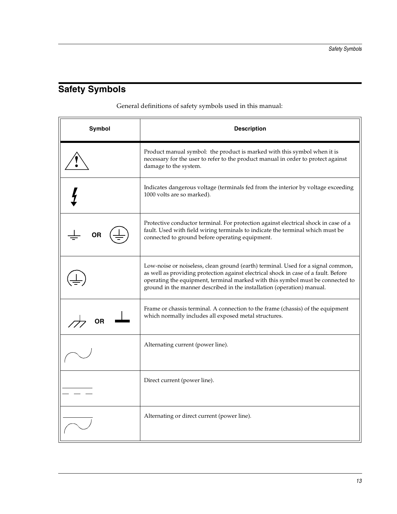# <span id="page-12-0"></span>**Safety Symbols**

General definitions of safety symbols used in this manual:

| Symbol | <b>Description</b>                                                                                                                                                                                                                                                                                                                  |
|--------|-------------------------------------------------------------------------------------------------------------------------------------------------------------------------------------------------------------------------------------------------------------------------------------------------------------------------------------|
|        | Product manual symbol: the product is marked with this symbol when it is<br>necessary for the user to refer to the product manual in order to protect against<br>damage to the system.                                                                                                                                              |
|        | Indicates dangerous voltage (terminals fed from the interior by voltage exceeding<br>1000 volts are so marked).                                                                                                                                                                                                                     |
|        | Protective conductor terminal. For protection against electrical shock in case of a<br>fault. Used with field wiring terminals to indicate the terminal which must be<br>connected to ground before operating equipment.                                                                                                            |
|        | Low-noise or noiseless, clean ground (earth) terminal. Used for a signal common,<br>as well as providing protection against electrical shock in case of a fault. Before<br>operating the equipment, terminal marked with this symbol must be connected to<br>ground in the manner described in the installation (operation) manual. |
| ΟR     | Frame or chassis terminal. A connection to the frame (chassis) of the equipment<br>which normally includes all exposed metal structures.                                                                                                                                                                                            |
|        | Alternating current (power line).                                                                                                                                                                                                                                                                                                   |
|        | Direct current (power line).                                                                                                                                                                                                                                                                                                        |
|        | Alternating or direct current (power line).                                                                                                                                                                                                                                                                                         |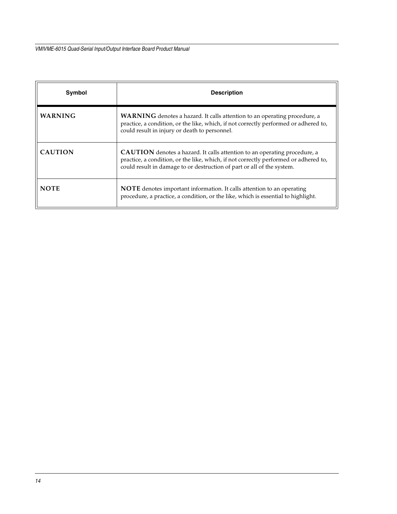*VMIVME-6015 Quad-Serial Input/Output Interface Board Product Manual*

| Symbol         | <b>Description</b>                                                                                                                                                                                                                          |
|----------------|---------------------------------------------------------------------------------------------------------------------------------------------------------------------------------------------------------------------------------------------|
| <b>WARNING</b> | <b>WARNING</b> denotes a hazard. It calls attention to an operating procedure, a<br>practice, a condition, or the like, which, if not correctly performed or adhered to,<br>could result in injury or death to personnel.                   |
| <b>CAUTION</b> | CAUTION denotes a hazard. It calls attention to an operating procedure, a<br>practice, a condition, or the like, which, if not correctly performed or adhered to,<br>could result in damage to or destruction of part or all of the system. |
| <b>NOTE</b>    | <b>NOTE</b> denotes important information. It calls attention to an operating<br>procedure, a practice, a condition, or the like, which is essential to highlight.                                                                          |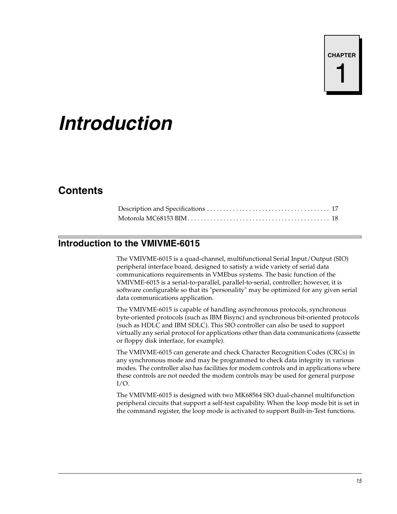# <span id="page-14-0"></span>*Introduction*

# **Contents**

### **Introduction to the VMIVME-6015**

The VMIVME-6015 is a quad-channel, multifunctional Serial Input/Output (SIO) peripheral interface board, designed to satisfy a wide variety of serial data communications requirements in VMEbus systems. The basic function of the VMIVME-6015 is a serial-to-parallel, parallel-to-serial, controller; however, it is software configurable so that its "personality" may be optimized for any given serial data communications application.

The VMIVME-6015 is capable of handling asynchronous protocols, synchronous byte-oriented protocols (such as IBM Bisync) and synchronous bit-oriented protocols (such as HDLC and IBM SDLC). This SIO controller can also be used to support virtually any serial protocol for applications other than data communications (cassette or floppy disk interface, for example).

The VMIVME-6015 can generate and check Character Recognition Codes (CRCs) in any synchronous mode and may be programmed to check data integrity in various modes. The controller also has facilities for modem controls and in applications where these controls are not needed the modem controls may be used for general purpose  $I/O$ .

The VMIVME-6015 is designed with two MK68564 SIO dual-channel multifunction peripheral circuits that support a self-test capability. When the loop mode bit is set in the command register, the loop mode is activated to support Built-in-Test functions.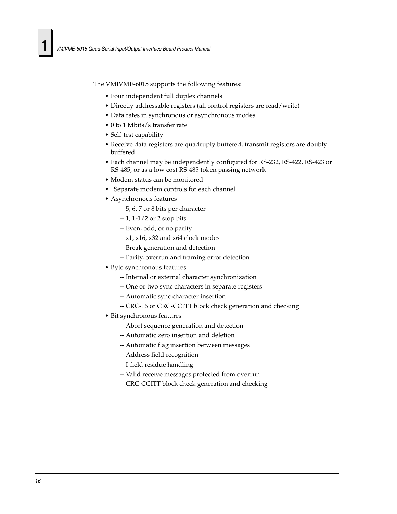The VMIVME-6015 supports the following features:

- Four independent full duplex channels
- Directly addressable registers (all control registers are read/write)
- Data rates in synchronous or asynchronous modes
- 0 to 1 Mbits/s transfer rate
- Self-test capability
- Receive data registers are quadruply buffered, transmit registers are doubly buffered
- Each channel may be independently configured for RS-232, RS-422, RS-423 or RS-485, or as a low cost RS-485 token passing network
- Modem status can be monitored
- Separate modem controls for each channel
- Asynchronous features
	- -- 5, 6, 7 or 8 bits per character
	- -- 1, 1-1/2 or 2 stop bits
	- -- Even, odd, or no parity
	- $x1$ , x16, x32 and x64 clock modes
	- -- Break generation and detection
	- -- Parity, overrun and framing error detection
- Byte synchronous features
	- -- Internal or external character synchronization
	- -- One or two sync characters in separate registers
	- -- Automatic sync character insertion
	- -- CRC-16 or CRC-CCITT block check generation and checking
- Bit synchronous features
	- -- Abort sequence generation and detection
	- -- Automatic zero insertion and deletion
	- -- Automatic flag insertion between messages
	- -- Address field recognition
	- -- I-field residue handling
	- -- Valid receive messages protected from overrun
	- -- CRC-CCITT block check generation and checking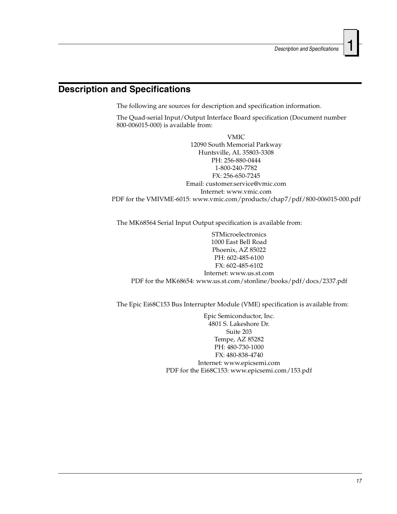### <span id="page-16-0"></span>**Description and Specifications**

The following are sources for description and specification information.

The Quad-serial Input/Output Interface Board specification (Document number 800-006015-000) is available from:

VMIC 12090 South Memorial Parkway Huntsville, AL 35803-3308 PH: 256-880-0444 1-800-240-7782 FX: 256-650-7245 Email: customer.service@vmic.com Internet: www.vmic.com PDF for the VMIVME-6015: www.vmic.com/products/chap7/pdf/800-006015-000.pdf

The MK68564 Serial Input Output specification is available from:

**STMicroelectronics** 1000 East Bell Road Phoenix, AZ 85022 PH: 602-485-6100 FX: 602-485-6102 Internet: www.us.st.com PDF for the MK68654: www.us.st.com/stonline/books/pdf/docs/2337.pdf

The Epic Ei68C153 Bus Interrupter Module (VME) specification is available from:

Epic Semiconductor, Inc. 4801 S. Lakeshore Dr. Suite 203 Tempe, AZ 85282 PH: 480-730-1000 FX: 480-838-4740 Internet: www.epicsemi.com PDF for the Ei68C153: www.epicsemi.com/153.pdf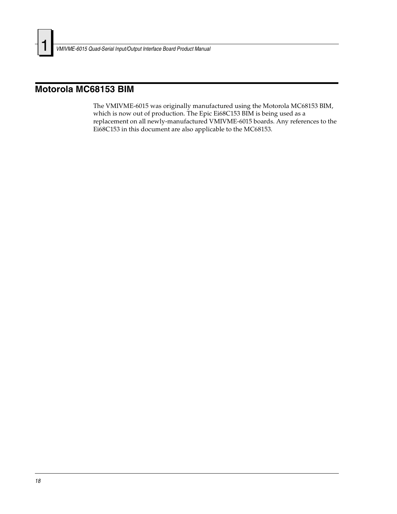### <span id="page-17-0"></span>**Motorola MC68153 BIM**

The VMIVME-6015 was originally manufactured using the Motorola MC68153 BIM, which is now out of production. The Epic Ei68C153 BIM is being used as a replacement on all newly-manufactured VMIVME-6015 boards. Any references to the Ei68C153 in this document are also applicable to the MC68153.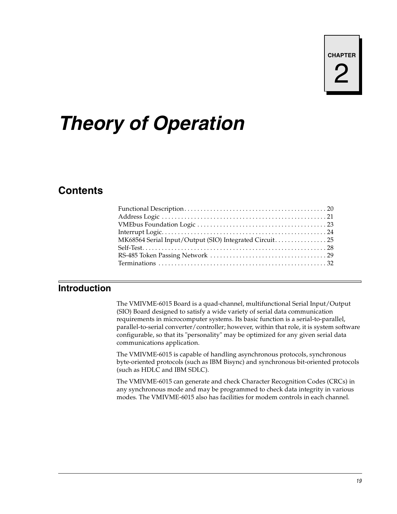# <span id="page-18-0"></span>*Theory of Operation*

# **Contents**

| MK68564 Serial Input/Output (SIO) Integrated Circuit 25 |  |
|---------------------------------------------------------|--|
|                                                         |  |
|                                                         |  |
|                                                         |  |
|                                                         |  |

### **Introduction**

The VMIVME-6015 Board is a quad-channel, multifunctional Serial Input/Output (SIO) Board designed to satisfy a wide variety of serial data communication requirements in microcomputer systems. Its basic function is a serial-to-parallel, parallel-to-serial converter/controller; however, within that role, it is system software configurable, so that its "personality" may be optimized for any given serial data communications application.

The VMIVME-6015 is capable of handling asynchronous protocols, synchronous byte-oriented protocols (such as IBM Bisync) and synchronous bit-oriented protocols (such as HDLC and IBM SDLC).

The VMIVME-6015 can generate and check Character Recognition Codes (CRCs) in any synchronous mode and may be programmed to check data integrity in various modes. The VMIVME-6015 also has facilities for modem controls in each channel.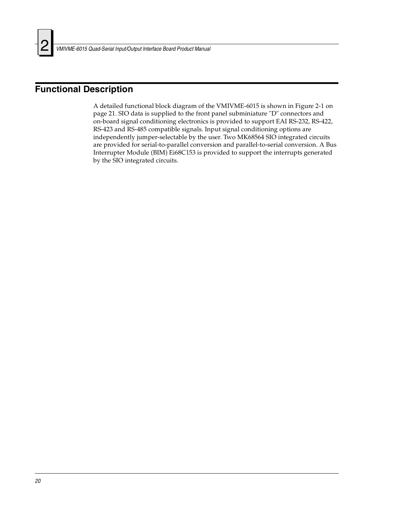

## <span id="page-19-0"></span>**Functional Description**

A detailed functional block diagram of the VMIVME-6015 is shown in [Figure 2-1 on](#page-20-1)  [page 21.](#page-20-1) SIO data is supplied to the front panel subminiature "D" connectors and on-board signal conditioning electronics is provided to support EAI RS-232, RS-422, RS-423 and RS-485 compatible signals. Input signal conditioning options are independently jumper-selectable by the user. Two MK68564 SIO integrated circuits are provided for serial-to-parallel conversion and parallel-to-serial conversion. A Bus Interrupter Module (BIM) Ei68C153 is provided to support the interrupts generated by the SIO integrated circuits.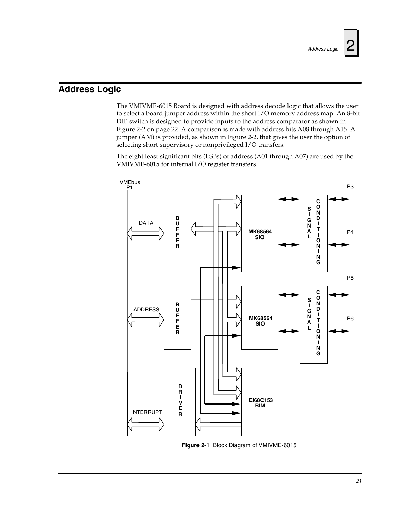# <span id="page-20-0"></span>**Address Logic**

The VMIVME-6015 Board is designed with address decode logic that allows the user to select a board jumper address within the short I/O memory address map. An 8-bit DIP switch is designed to provide inputs to the address comparator as shown in [Figure 2-2 on page 22](#page-21-0). A comparison is made with address bits A08 through A15. A jumper (AM) is provided, as shown in [Figure 2-2,](#page-21-0) that gives the user the option of selecting short supervisory or nonprivileged I/O transfers.

The eight least significant bits (LSBs) of address (A01 through A07) are used by the VMIVME-6015 for internal I/O register transfers.



<span id="page-20-1"></span>**Figure 2-1** Block Diagram of VMIVME-6015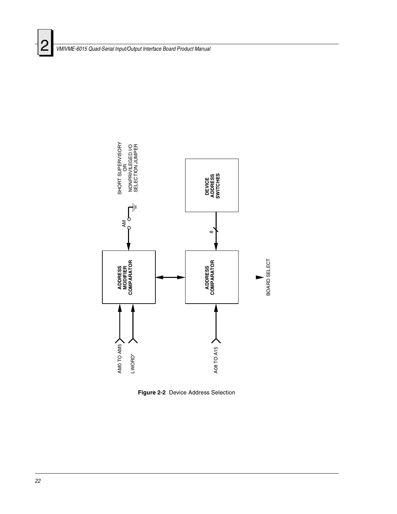

<span id="page-21-0"></span>**Figure 2-2** Device Address Selection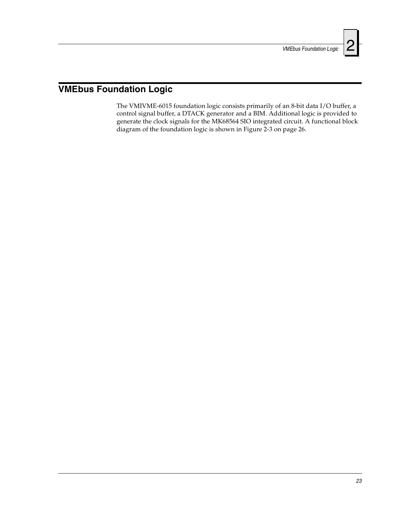# <span id="page-22-0"></span>**VMEbus Foundation Logic**

The VMIVME-6015 foundation logic consists primarily of an 8-bit data I/O buffer, a control signal buffer, a DTACK generator and a BIM. Additional logic is provided to generate the clock signals for the MK68564 SIO integrated circuit. A functional block diagram of the foundation logic is shown in [Figure 2-3 on page 26](#page-25-0).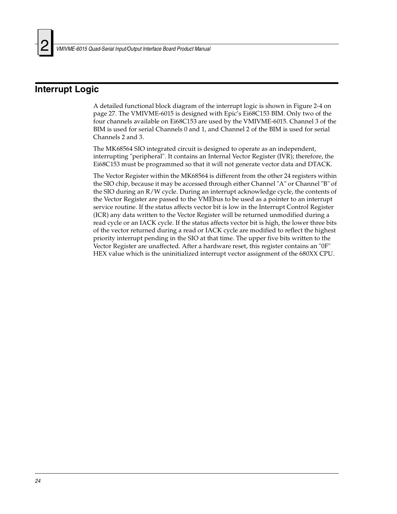#### <span id="page-23-0"></span>**Interrupt Logic**

A detailed functional block diagram of the interrupt logic is shown in [Figure 2-4 on](#page-26-0)  [page 27.](#page-26-0) The VMIVME-6015 is designed with Epic's Ei68C153 BIM. Only two of the four channels available on Ei68C153 are used by the VMIVME-6015. Channel 3 of the BIM is used for serial Channels 0 and 1, and Channel 2 of the BIM is used for serial Channels 2 and 3.

The MK68564 SIO integrated circuit is designed to operate as an independent, interrupting "peripheral". It contains an Internal Vector Register (IVR); therefore, the Ei68C153 must be programmed so that it will not generate vector data and DTACK.

The Vector Register within the MK68564 is different from the other 24 registers within the SIO chip, because it may be accessed through either Channel "A" or Channel "B" of the SIO during an R/W cycle. During an interrupt acknowledge cycle, the contents of the Vector Register are passed to the VMEbus to be used as a pointer to an interrupt service routine. If the status affects vector bit is low in the Interrupt Control Register (ICR) any data written to the Vector Register will be returned unmodified during a read cycle or an IACK cycle. If the status affects vector bit is high, the lower three bits of the vector returned during a read or IACK cycle are modified to reflect the highest priority interrupt pending in the SIO at that time. The upper five bits written to the Vector Register are unaffected. After a hardware reset, this register contains an "0F" HEX value which is the uninitialized interrupt vector assignment of the 680XX CPU.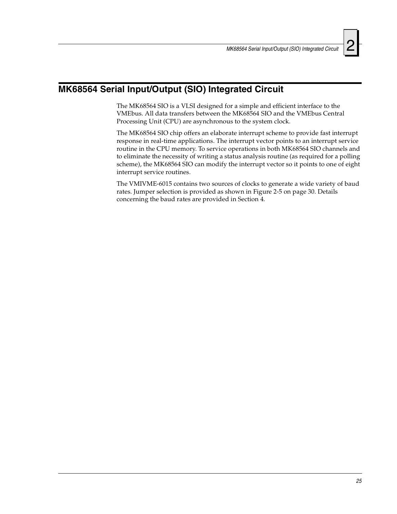## <span id="page-24-0"></span>**MK68564 Serial Input/Output (SIO) Integrated Circuit**

The MK68564 SIO is a VLSI designed for a simple and efficient interface to the VMEbus. All data transfers between the MK68564 SIO and the VMEbus Central Processing Unit (CPU) are asynchronous to the system clock.

The MK68564 SIO chip offers an elaborate interrupt scheme to provide fast interrupt response in real-time applications. The interrupt vector points to an interrupt service routine in the CPU memory. To service operations in both MK68564 SIO channels and to eliminate the necessity of writing a status analysis routine (as required for a polling scheme), the MK68564 SIO can modify the interrupt vector so it points to one of eight interrupt service routines.

The VMIVME-6015 contains two sources of clocks to generate a wide variety of baud rates. Jumper selection is provided as shown in [Figure 2-5 on page 30](#page-29-0). Details concerning the baud rates are provided in Section 4.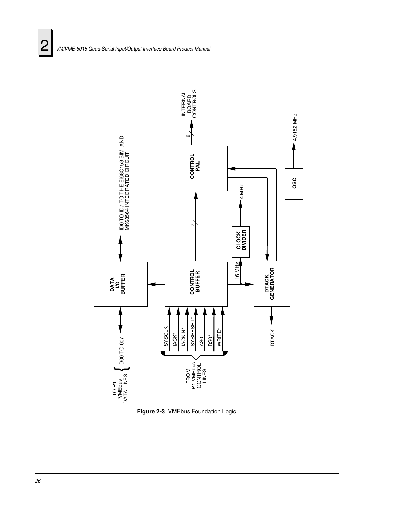

<span id="page-25-0"></span>**Figure 2-3** VMEbus Foundation Logic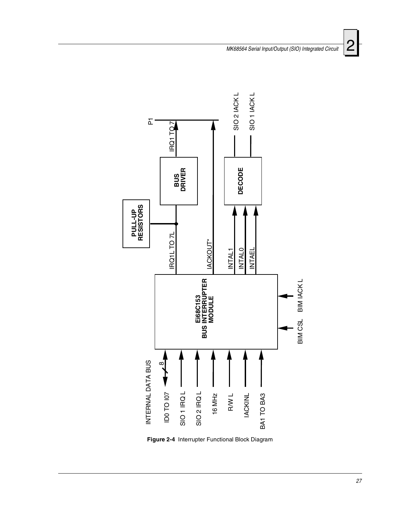*MK68564 Serial Input/Output (SIO) Integrated Circuit* 2





<span id="page-26-0"></span>**Figure 2-4** Interrupter Functional Block Diagram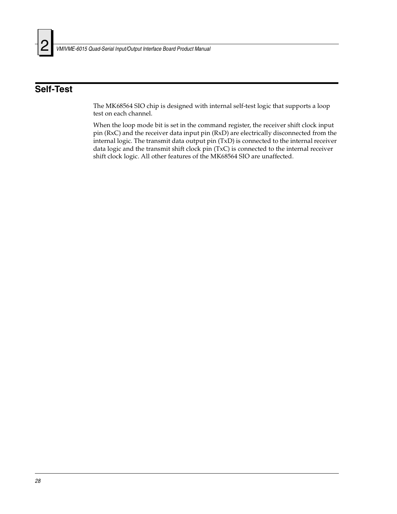

## <span id="page-27-0"></span>**Self-Test**

The MK68564 SIO chip is designed with internal self-test logic that supports a loop test on each channel.

When the loop mode bit is set in the command register, the receiver shift clock input pin (RxC) and the receiver data input pin (RxD) are electrically disconnected from the internal logic. The transmit data output pin (TxD) is connected to the internal receiver data logic and the transmit shift clock pin (TxC) is connected to the internal receiver shift clock logic. All other features of the MK68564 SIO are unaffected.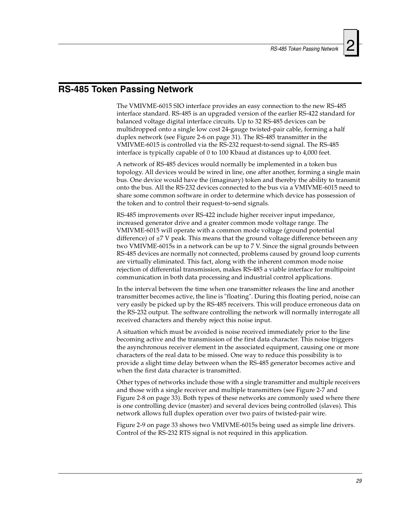### <span id="page-28-0"></span>**RS-485 Token Passing Network**

The VMIVME-6015 SIO interface provides an easy connection to the new RS-485 interface standard. RS-485 is an upgraded version of the earlier RS-422 standard for balanced voltage digital interface circuits. Up to 32 RS-485 devices can be multidropped onto a single low cost 24-gauge twisted-pair cable, forming a half duplex network (see [Figure 2-6 on page 31](#page-30-0)). The RS-485 transmitter in the VMIVME-6015 is controlled via the RS-232 request-to-send signal. The RS-485 interface is typically capable of 0 to 100 Kbaud at distances up to 4,000 feet.

A network of RS-485 devices would normally be implemented in a token bus topology. All devices would be wired in line, one after another, forming a single main bus. One device would have the (imaginary) token and thereby the ability to transmit onto the bus. All the RS-232 devices connected to the bus via a VMIVME-6015 need to share some common software in order to determine which device has possession of the token and to control their request-to-send signals.

RS-485 improvements over RS-422 include higher receiver input impedance, increased generator drive and a greater common mode voltage range. The VMIVME-6015 will operate with a common mode voltage (ground potential difference) of  $\pm$ 7 V peak. This means that the ground voltage difference between any two VMIVME-6015s in a network can be up to 7 V. Since the signal grounds between RS-485 devices are normally not connected, problems caused by ground loop currents are virtually eliminated. This fact, along with the inherent common mode noise rejection of differential transmission, makes RS-485 a viable interface for multipoint communication in both data processing and industrial control applications.

In the interval between the time when one transmitter releases the line and another transmitter becomes active, the line is "floating". During this floating period, noise can very easily be picked up by the RS-485 receivers. This will produce erroneous data on the RS-232 output. The software controlling the network will normally interrogate all received characters and thereby reject this noise input.

A situation which must be avoided is noise received immediately prior to the line becoming active and the transmission of the first data character. This noise triggers the asynchronous receiver element in the associated equipment, causing one or more characters of the real data to be missed. One way to reduce this possibility is to provide a slight time delay between when the RS-485 generator becomes active and when the first data character is transmitted.

Other types of networks include those with a single transmitter and multiple receivers and those with a single receiver and multiple transmitters (see [Figure 2-7](#page-32-0) and [Figure 2-8 on page 33](#page-32-1)). Both types of these networks are commonly used where there is one controlling device (master) and several devices being controlled (slaves). This network allows full duplex operation over two pairs of twisted-pair wire.

[Figure 2-9 on page 33](#page-32-2) shows two VMIVME-6015s being used as simple line drivers. Control of the RS-232 RTS signal is not required in this application.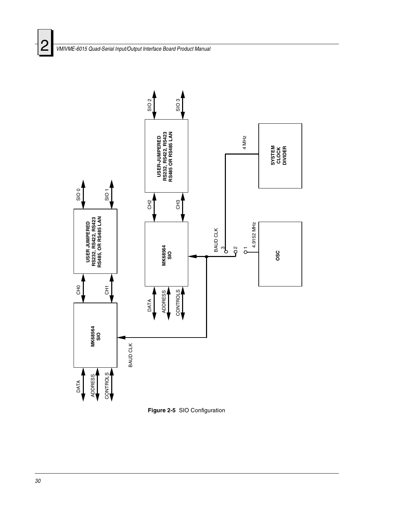

<span id="page-29-0"></span>**Figure 2-5** SIO Configuration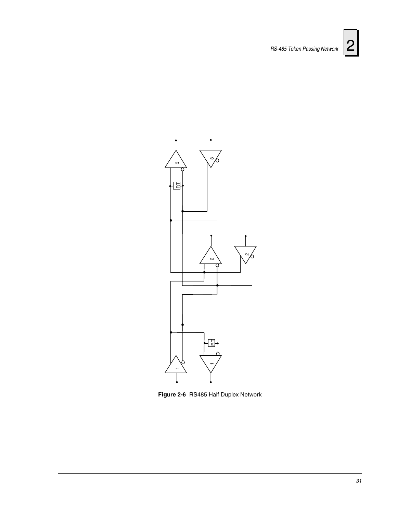**RS-485 Token Passing Network** 2





<span id="page-30-0"></span>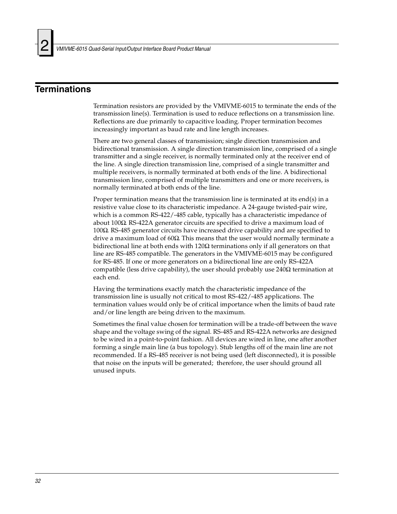#### <span id="page-31-0"></span>**Terminations**

Termination resistors are provided by the VMIVME-6015 to terminate the ends of the transmission line(s). Termination is used to reduce reflections on a transmission line. Reflections are due primarily to capacitive loading. Proper termination becomes increasingly important as baud rate and line length increases.

There are two general classes of transmission; single direction transmission and bidirectional transmission. A single direction transmission line, comprised of a single transmitter and a single receiver, is normally terminated only at the receiver end of the line. A single direction transmission line, comprised of a single transmitter and multiple receivers, is normally terminated at both ends of the line. A bidirectional transmission line, comprised of multiple transmitters and one or more receivers, is normally terminated at both ends of the line.

Proper termination means that the transmission line is terminated at its end(s) in a resistive value close to its characteristic impedance. A 24-gauge twisted-pair wire, which is a common RS-422/-485 cable, typically has a characteristic impedance of about 100Ω. RS-422A generator circuits are specified to drive a maximum load of 100Ω. RS-485 generator circuits have increased drive capability and are specified to drive a maximum load of 60Ω. This means that the user would normally terminate a bidirectional line at both ends with  $120Ω$  terminations only if all generators on that line are RS-485 compatible. The generators in the VMIVME-6015 may be configured for RS-485. If one or more generators on a bidirectional line are only RS-422A compatible (less drive capability), the user should probably use  $240\Omega$  termination at each end.

Having the terminations exactly match the characteristic impedance of the transmission line is usually not critical to most RS-422/-485 applications. The termination values would only be of critical importance when the limits of baud rate and/or line length are being driven to the maximum.

Sometimes the final value chosen for termination will be a trade-off between the wave shape and the voltage swing of the signal. RS-485 and RS-422A networks are designed to be wired in a point-to-point fashion. All devices are wired in line, one after another forming a single main line (a bus topology). Stub lengths off of the main line are not recommended. If a RS-485 receiver is not being used (left disconnected), it is possible that noise on the inputs will be generated; therefore, the user should ground all unused inputs.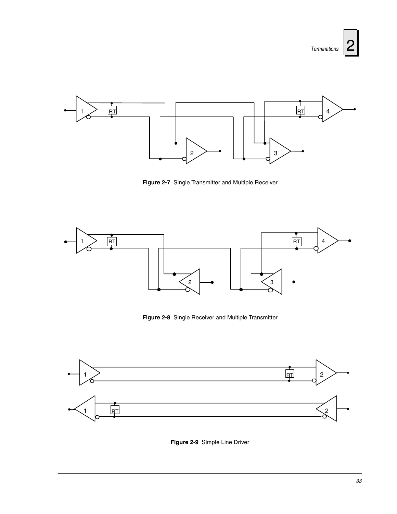

**Figure 2-7** Single Transmitter and Multiple Receiver

<span id="page-32-0"></span>

**Figure 2-8** Single Receiver and Multiple Transmitter

<span id="page-32-2"></span><span id="page-32-1"></span>

**Figure 2-9** Simple Line Driver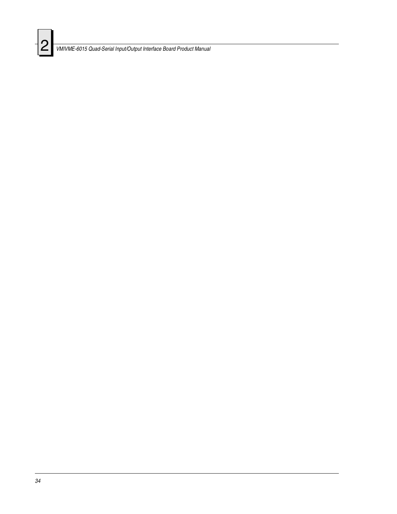

*VMIVME-6015 Quad-Serial Input/Output Interface Board Product Manual*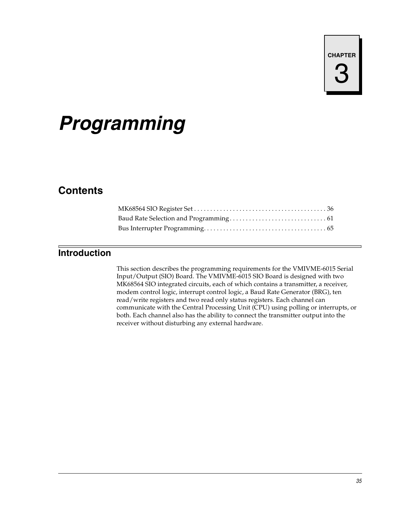# <span id="page-34-0"></span>*Programming*

# **Contents**

## **Introduction**

This section describes the programming requirements for the VMIVME-6015 Serial Input/Output (SIO) Board. The VMIVME-6015 SIO Board is designed with two MK68564 SIO integrated circuits, each of which contains a transmitter, a receiver, modem control logic, interrupt control logic, a Baud Rate Generator (BRG), ten read/write registers and two read only status registers. Each channel can communicate with the Central Processing Unit (CPU) using polling or interrupts, or both. Each channel also has the ability to connect the transmitter output into the receiver without disturbing any external hardware.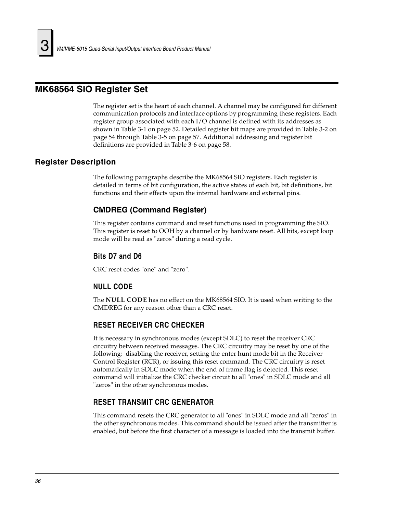### <span id="page-35-0"></span>**MK68564 SIO Register Set**

The register set is the heart of each channel. A channel may be configured for different communication protocols and interface options by programming these registers. Each register group associated with each I/O channel is defined with its addresses as shown in [Table 3-1 on page 52.](#page-51-0) Detailed register bit maps are provided in [Table 3-2 on](#page-53-0)  [page 54](#page-53-0) through [Table 3-5 on page 57.](#page-56-0) Additional addressing and register bit definitions are provided in [Table 3-6 on page 58.](#page-57-0)

#### <span id="page-35-2"></span><span id="page-35-1"></span>**Register Description**

The following paragraphs describe the MK68564 SIO registers. Each register is detailed in terms of bit configuration, the active states of each bit, bit definitions, bit functions and their effects upon the internal hardware and external pins.

#### **CMDREG (Command Register)**

This register contains command and reset functions used in programming the SIO. This register is reset to OOH by a channel or by hardware reset. All bits, except loop mode will be read as "zeros" during a read cycle.

#### <span id="page-35-3"></span>**Bits D7 and D6**

CRC reset codes "one" and "zero".

#### <span id="page-35-4"></span>**NULL CODE**

The **NULL CODE** has no effect on the MK68564 SIO. It is used when writing to the CMDREG for any reason other than a CRC reset.

#### <span id="page-35-5"></span>**RESET RECEIVER CRC CHECKER**

It is necessary in synchronous modes (except SDLC) to reset the receiver CRC circuitry between received messages. The CRC circuitry may be reset by one of the following: disabling the receiver, setting the enter hunt mode bit in the Receiver Control Register (RCR), or issuing this reset command. The CRC circuitry is reset automatically in SDLC mode when the end of frame flag is detected. This reset command will initialize the CRC checker circuit to all "ones" in SDLC mode and all "zeros" in the other synchronous modes.

#### <span id="page-35-6"></span>**RESET TRANSMIT CRC GENERATOR**

This command resets the CRC generator to all "ones" in SDLC mode and all "zeros" in the other synchronous modes. This command should be issued after the transmitter is enabled, but before the first character of a message is loaded into the transmit buffer.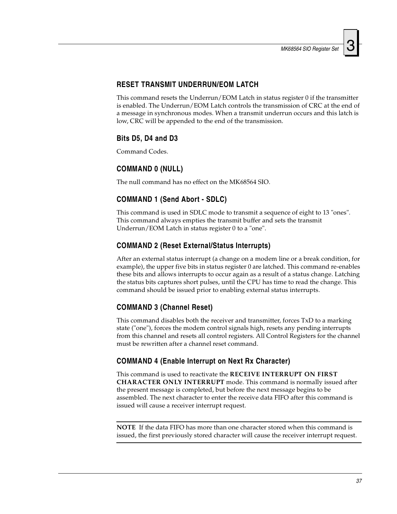#### **RESET TRANSMIT UNDERRUN/EOM LATCH**

This command resets the Underrun/EOM Latch in status register 0 if the transmitter is enabled. The Underrun/EOM Latch controls the transmission of CRC at the end of a message in synchronous modes. When a transmit underrun occurs and this latch is low, CRC will be appended to the end of the transmission.

#### **Bits D5, D4 and D3**

Command Codes.

### **COMMAND 0 (NULL)**

The null command has no effect on the MK68564 SIO.

#### **COMMAND 1 (Send Abort - SDLC)**

This command is used in SDLC mode to transmit a sequence of eight to 13 "ones". This command always empties the transmit buffer and sets the transmit Underrun/EOM Latch in status register 0 to a "one".

#### **COMMAND 2 (Reset External/Status Interrupts)**

After an external status interrupt (a change on a modem line or a break condition, for example), the upper five bits in status register 0 are latched. This command re-enables these bits and allows interrupts to occur again as a result of a status change. Latching the status bits captures short pulses, until the CPU has time to read the change. This command should be issued prior to enabling external status interrupts.

#### **COMMAND 3 (Channel Reset)**

This command disables both the receiver and transmitter, forces TxD to a marking state ("one"), forces the modem control signals high, resets any pending interrupts from this channel and resets all control registers. All Control Registers for the channel must be rewritten after a channel reset command.

#### **COMMAND 4 (Enable Interrupt on Next Rx Character)**

This command is used to reactivate the **RECEIVE INTERRUPT ON FIRST CHARACTER ONLY INTERRUPT** mode. This command is normally issued after the present message is completed, but before the next message begins to be assembled. The next character to enter the receive data FIFO after this command is issued will cause a receiver interrupt request.

**NOTE** If the data FIFO has more than one character stored when this command is issued, the first previously stored character will cause the receiver interrupt request.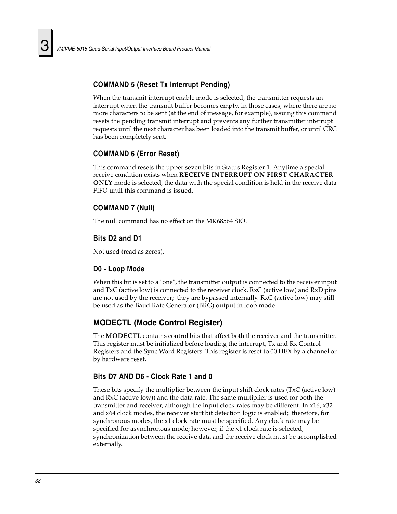#### **COMMAND 5 (Reset Tx Interrupt Pending)**

When the transmit interrupt enable mode is selected, the transmitter requests an interrupt when the transmit buffer becomes empty. In those cases, where there are no more characters to be sent (at the end of message, for example), issuing this command resets the pending transmit interrupt and prevents any further transmitter interrupt requests until the next character has been loaded into the transmit buffer, or until CRC has been completely sent.

#### **COMMAND 6 (Error Reset)**

This command resets the upper seven bits in Status Register 1. Anytime a special receive condition exists when **RECEIVE INTERRUPT ON FIRST CHARACTER ONLY** mode is selected, the data with the special condition is held in the receive data FIFO until this command is issued.

#### **COMMAND 7 (Null)**

The null command has no effect on the MK68564 SIO.

#### **Bits D2 and D1**

Not used (read as zeros).

#### **D0 - Loop Mode**

When this bit is set to a "one", the transmitter output is connected to the receiver input and TxC (active low) is connected to the receiver clock. RxC (active low) and RxD pins are not used by the receiver; they are bypassed internally. RxC (active low) may still be used as the Baud Rate Generator (BRG) output in loop mode.

#### **MODECTL (Mode Control Register)**

The **MODECTL** contains control bits that affect both the receiver and the transmitter. This register must be initialized before loading the interrupt, Tx and Rx Control Registers and the Sync Word Registers. This register is reset to 00 HEX by a channel or by hardware reset.

#### **Bits D7 AND D6 - Clock Rate 1 and 0**

These bits specify the multiplier between the input shift clock rates (TxC (active low) and RxC (active low)) and the data rate. The same multiplier is used for both the transmitter and receiver, although the input clock rates may be different. In x16, x32 and x64 clock modes, the receiver start bit detection logic is enabled; therefore, for synchronous modes, the x1 clock rate must be specified. Any clock rate may be specified for asynchronous mode; however, if the x1 clock rate is selected, synchronization between the receive data and the receive clock must be accomplished externally.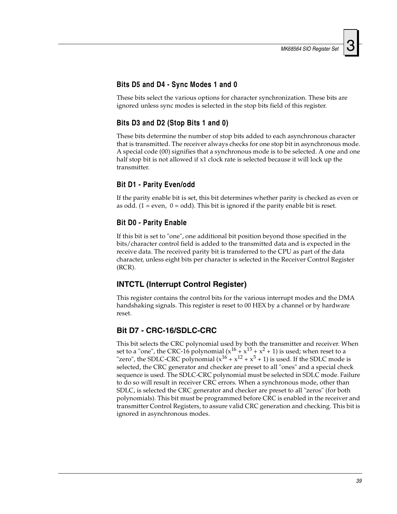#### **Bits D5 and D4 - Sync Modes 1 and 0**

These bits select the various options for character synchronization. These bits are ignored unless sync modes is selected in the stop bits field of this register.

#### **Bits D3 and D2 (Stop Bits 1 and 0)**

These bits determine the number of stop bits added to each asynchronous character that is transmitted. The receiver always checks for one stop bit in asynchronous mode. A special code (00) signifies that a synchronous mode is to be selected. A one and one half stop bit is not allowed if x1 clock rate is selected because it will lock up the transmitter.

#### **Bit D1 - Parity Even/odd**

If the parity enable bit is set, this bit determines whether parity is checked as even or as odd.  $(1 = even, 0 = odd)$ . This bit is ignored if the parity enable bit is reset.

#### **Bit D0 - Parity Enable**

If this bit is set to "one", one additional bit position beyond those specified in the bits/character control field is added to the transmitted data and is expected in the receive data. The received parity bit is transferred to the CPU as part of the data character, unless eight bits per character is selected in the Receiver Control Register (RCR).

#### **INTCTL (Interrupt Control Register)**

This register contains the control bits for the various interrupt modes and the DMA handshaking signals. This register is reset to 00 HEX by a channel or by hardware reset.

#### **Bit D7 - CRC-16/SDLC-CRC**

This bit selects the CRC polynomial used by both the transmitter and receiver. When set to a "one", the CRC-16 polynomial  $(x^{16} + x^{15} + x^2 + 1)$  is used; when reset to a "zero", the SDLC-CRC polynomial  $(x^{16} + x^{12} + x^5 + 1)$  is used. If the SDLC mode is selected, the CRC generator and checker are preset to all "ones" and a special check sequence is used. The SDLC-CRC polynomial must be selected in SDLC mode. Failure to do so will result in receiver CRC errors. When a synchronous mode, other than SDLC, is selected the CRC generator and checker are preset to all "zeros" (for both polynomials). This bit must be programmed before CRC is enabled in the receiver and transmitter Control Registers, to assure valid CRC generation and checking. This bit is ignored in asynchronous modes.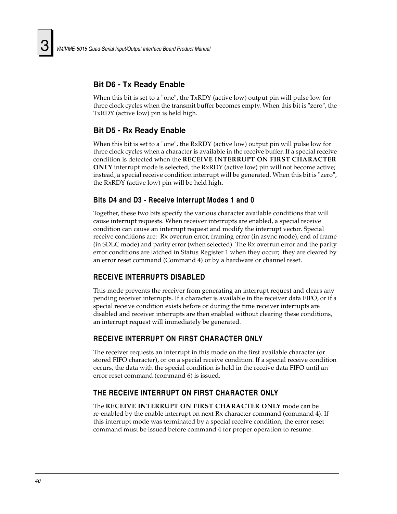#### **Bit D6 - Tx Ready Enable**

When this bit is set to a "one", the TxRDY (active low) output pin will pulse low for three clock cycles when the transmit buffer becomes empty. When this bit is "zero", the TxRDY (active low) pin is held high.

#### **Bit D5 - Rx Ready Enable**

When this bit is set to a "one", the RxRDY (active low) output pin will pulse low for three clock cycles when a character is available in the receive buffer. If a special receive condition is detected when the **RECEIVE INTERRUPT ON FIRST CHARACTER ONLY** interrupt mode is selected, the RxRDY (active low) pin will not become active; instead, a special receive condition interrupt will be generated. When this bit is "zero", the RxRDY (active low) pin will be held high.

#### **Bits D4 and D3 - Receive Interrupt Modes 1 and 0**

Together, these two bits specify the various character available conditions that will cause interrupt requests. When receiver interrupts are enabled, a special receive condition can cause an interrupt request and modify the interrupt vector. Special receive conditions are: Rx overrun error, framing error (in async mode), end of frame (in SDLC mode) and parity error (when selected). The Rx overrun error and the parity error conditions are latched in Status Register 1 when they occur; they are cleared by an error reset command (Command 4) or by a hardware or channel reset.

#### **RECEIVE INTERRUPTS DISABLED**

This mode prevents the receiver from generating an interrupt request and clears any pending receiver interrupts. If a character is available in the receiver data FIFO, or if a special receive condition exists before or during the time receiver interrupts are disabled and receiver interrupts are then enabled without clearing these conditions, an interrupt request will immediately be generated.

#### **RECEIVE INTERRUPT ON FIRST CHARACTER ONLY**

The receiver requests an interrupt in this mode on the first available character (or stored FIFO character), or on a special receive condition. If a special receive condition occurs, the data with the special condition is held in the receive data FIFO until an error reset command (command 6) is issued.

#### **THE RECEIVE INTERRUPT ON FIRST CHARACTER ONLY**

The **RECEIVE INTERRUPT ON FIRST CHARACTER ONLY** mode can be re-enabled by the enable interrupt on next Rx character command (command 4). If this interrupt mode was terminated by a special receive condition, the error reset command must be issued before command 4 for proper operation to resume.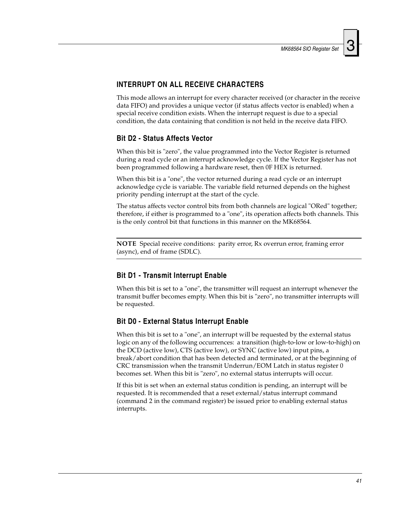### **INTERRUPT ON ALL RECEIVE CHARACTERS**

This mode allows an interrupt for every character received (or character in the receive data FIFO) and provides a unique vector (if status affects vector is enabled) when a special receive condition exists. When the interrupt request is due to a special condition, the data containing that condition is not held in the receive data FIFO.

#### **Bit D2 - Status Affects Vector**

When this bit is "zero", the value programmed into the Vector Register is returned during a read cycle or an interrupt acknowledge cycle. If the Vector Register has not been programmed following a hardware reset, then 0F HEX is returned.

When this bit is a "one", the vector returned during a read cycle or an interrupt acknowledge cycle is variable. The variable field returned depends on the highest priority pending interrupt at the start of the cycle.

The status affects vector control bits from both channels are logical "ORed" together; therefore, if either is programmed to a "one", its operation affects both channels. This is the only control bit that functions in this manner on the MK68564.

**NOTE** Special receive conditions: parity error, Rx overrun error, framing error (async), end of frame (SDLC).

#### **Bit D1 - Transmit Interrupt Enable**

When this bit is set to a "one", the transmitter will request an interrupt whenever the transmit buffer becomes empty. When this bit is "zero", no transmitter interrupts will be requested.

#### **Bit D0 - External Status Interrupt Enable**

When this bit is set to a "one", an interrupt will be requested by the external status logic on any of the following occurrences: a transition (high-to-low or low-to-high) on the DCD (active low), CTS (active low), or SYNC (active low) input pins, a break/abort condition that has been detected and terminated, or at the beginning of CRC transmission when the transmit Underrun/EOM Latch in status register 0 becomes set. When this bit is "zero", no external status interrupts will occur.

If this bit is set when an external status condition is pending, an interrupt will be requested. It is recommended that a reset external/status interrupt command (command 2 in the command register) be issued prior to enabling external status interrupts.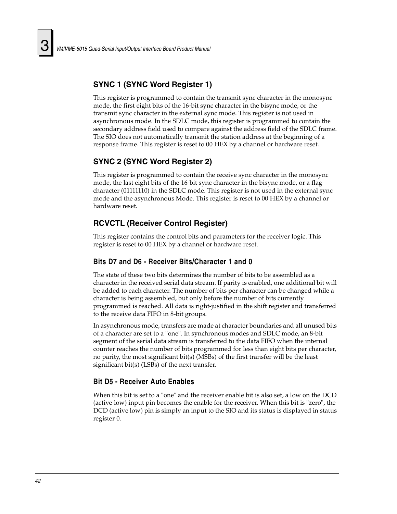#### **SYNC 1 (SYNC Word Register 1)**

This register is programmed to contain the transmit sync character in the monosync mode, the first eight bits of the 16-bit sync character in the bisync mode, or the transmit sync character in the external sync mode. This register is not used in asynchronous mode. In the SDLC mode, this register is programmed to contain the secondary address field used to compare against the address field of the SDLC frame. The SIO does not automatically transmit the station address at the beginning of a response frame. This register is reset to 00 HEX by a channel or hardware reset.

#### **SYNC 2 (SYNC Word Register 2)**

This register is programmed to contain the receive sync character in the monosync mode, the last eight bits of the 16-bit sync character in the bisync mode, or a flag character (01111110) in the SDLC mode. This register is not used in the external sync mode and the asynchronous Mode. This register is reset to 00 HEX by a channel or hardware reset.

#### **RCVCTL (Receiver Control Register)**

This register contains the control bits and parameters for the receiver logic. This register is reset to 00 HEX by a channel or hardware reset.

#### **Bits D7 and D6 - Receiver Bits/Character 1 and 0**

The state of these two bits determines the number of bits to be assembled as a character in the received serial data stream. If parity is enabled, one additional bit will be added to each character. The number of bits per character can be changed while a character is being assembled, but only before the number of bits currently programmed is reached. All data is right-justified in the shift register and transferred to the receive data FIFO in 8-bit groups.

In asynchronous mode, transfers are made at character boundaries and all unused bits of a character are set to a "one". In synchronous modes and SDLC mode, an 8-bit segment of the serial data stream is transferred to the data FIFO when the internal counter reaches the number of bits programmed for less than eight bits per character, no parity, the most significant bit(s) (MSBs) of the first transfer will be the least significant bit(s) (LSBs) of the next transfer.

#### **Bit D5 - Receiver Auto Enables**

When this bit is set to a "one" and the receiver enable bit is also set, a low on the DCD (active low) input pin becomes the enable for the receiver. When this bit is "zero", the DCD (active low) pin is simply an input to the SIO and its status is displayed in status register 0.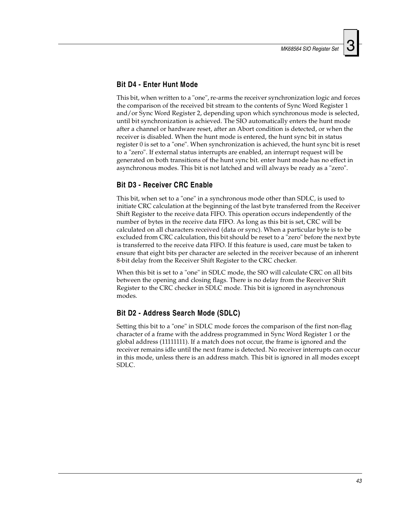#### **Bit D4 - Enter Hunt Mode**

This bit, when written to a "one", re-arms the receiver synchronization logic and forces the comparison of the received bit stream to the contents of Sync Word Register 1 and/or Sync Word Register 2, depending upon which synchronous mode is selected, until bit synchronization is achieved. The SIO automatically enters the hunt mode after a channel or hardware reset, after an Abort condition is detected, or when the receiver is disabled. When the hunt mode is entered, the hunt sync bit in status register 0 is set to a "one". When synchronization is achieved, the hunt sync bit is reset to a "zero". If external status interrupts are enabled, an interrupt request will be generated on both transitions of the hunt sync bit. enter hunt mode has no effect in asynchronous modes. This bit is not latched and will always be ready as a "zero".

#### **Bit D3 - Receiver CRC Enable**

This bit, when set to a "one" in a synchronous mode other than SDLC, is used to initiate CRC calculation at the beginning of the last byte transferred from the Receiver Shift Register to the receive data FIFO. This operation occurs independently of the number of bytes in the receive data FIFO. As long as this bit is set, CRC will be calculated on all characters received (data or sync). When a particular byte is to be excluded from CRC calculation, this bit should be reset to a "zero" before the next byte is transferred to the receive data FIFO. If this feature is used, care must be taken to ensure that eight bits per character are selected in the receiver because of an inherent 8-bit delay from the Receiver Shift Register to the CRC checker.

When this bit is set to a "one" in SDLC mode, the SIO will calculate CRC on all bits between the opening and closing flags. There is no delay from the Receiver Shift Register to the CRC checker in SDLC mode. This bit is ignored in asynchronous modes.

#### **Bit D2 - Address Search Mode (SDLC)**

Setting this bit to a "one" in SDLC mode forces the comparison of the first non-flag character of a frame with the address programmed in Sync Word Register 1 or the global address (11111111). If a match does not occur, the frame is ignored and the receiver remains idle until the next frame is detected. No receiver interrupts can occur in this mode, unless there is an address match. This bit is ignored in all modes except SDLC.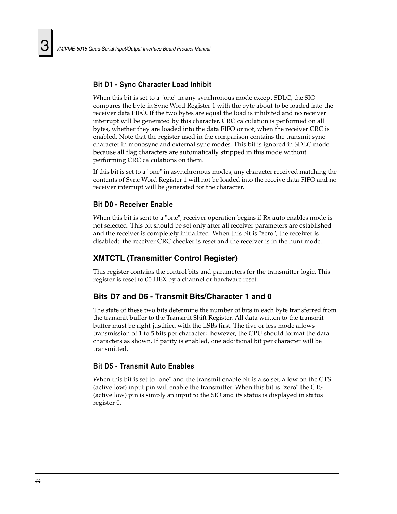#### **Bit D1 - Sync Character Load Inhibit**

When this bit is set to a "one" in any synchronous mode except SDLC, the SIO compares the byte in Sync Word Register 1 with the byte about to be loaded into the receiver data FIFO. If the two bytes are equal the load is inhibited and no receiver interrupt will be generated by this character. CRC calculation is performed on all bytes, whether they are loaded into the data FIFO or not, when the receiver CRC is enabled. Note that the register used in the comparison contains the transmit sync character in monosync and external sync modes. This bit is ignored in SDLC mode because all flag characters are automatically stripped in this mode without performing CRC calculations on them.

If this bit is set to a "one" in asynchronous modes, any character received matching the contents of Sync Word Register 1 will not be loaded into the receive data FIFO and no receiver interrupt will be generated for the character.

#### **Bit D0 - Receiver Enable**

When this bit is sent to a "one", receiver operation begins if Rx auto enables mode is not selected. This bit should be set only after all receiver parameters are established and the receiver is completely initialized. When this bit is "zero", the receiver is disabled; the receiver CRC checker is reset and the receiver is in the hunt mode.

#### **XMTCTL (Transmitter Control Register)**

This register contains the control bits and parameters for the transmitter logic. This register is reset to 00 HEX by a channel or hardware reset.

#### **Bits D7 and D6 - Transmit Bits/Character 1 and 0**

The state of these two bits determine the number of bits in each byte transferred from the transmit buffer to the Transmit Shift Register. All data written to the transmit buffer must be right-justified with the LSBs first. The five or less mode allows transmission of 1 to 5 bits per character; however, the CPU should format the data characters as shown. If parity is enabled, one additional bit per character will be transmitted.

#### **Bit D5 - Transmit Auto Enables**

When this bit is set to "one" and the transmit enable bit is also set, a low on the CTS (active low) input pin will enable the transmitter. When this bit is "zero" the CTS (active low) pin is simply an input to the SIO and its status is displayed in status register 0.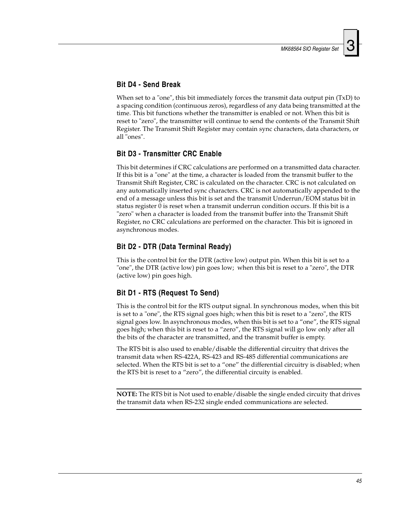#### **Bit D4 - Send Break**

When set to a "one", this bit immediately forces the transmit data output pin  $(TxD)$  to a spacing condition (continuous zeros), regardless of any data being transmitted at the time. This bit functions whether the transmitter is enabled or not. When this bit is reset to "zero", the transmitter will continue to send the contents of the Transmit Shift Register. The Transmit Shift Register may contain sync characters, data characters, or all "ones".

#### **Bit D3 - Transmitter CRC Enable**

This bit determines if CRC calculations are performed on a transmitted data character. If this bit is a "one" at the time, a character is loaded from the transmit buffer to the Transmit Shift Register, CRC is calculated on the character. CRC is not calculated on any automatically inserted sync characters. CRC is not automatically appended to the end of a message unless this bit is set and the transmit Underrun/EOM status bit in status register 0 is reset when a transmit underrun condition occurs. If this bit is a "zero" when a character is loaded from the transmit buffer into the Transmit Shift Register, no CRC calculations are performed on the character. This bit is ignored in asynchronous modes.

#### **Bit D2 - DTR (Data Terminal Ready)**

This is the control bit for the DTR (active low) output pin. When this bit is set to a "one", the DTR (active low) pin goes low; when this bit is reset to a "zero", the DTR (active low) pin goes high.

#### **Bit D1 - RTS (Request To Send)**

This is the control bit for the RTS output signal. In synchronous modes, when this bit is set to a "one", the RTS signal goes high; when this bit is reset to a "zero", the RTS signal goes low. In asynchronous modes, when this bit is set to a "one", the RTS signal goes high; when this bit is reset to a "zero", the RTS signal will go low only after all the bits of the character are transmitted, and the transmit buffer is empty.

The RTS bit is also used to enable/disable the differential circuitry that drives the transmit data when RS-422A, RS-423 and RS-485 differential communications are selected. When the RTS bit is set to a "one" the differential circuitry is disabled; when the RTS bit is reset to a "zero", the differential circuity is enabled.

**NOTE:** The RTS bit is Not used to enable/disable the single ended circuity that drives the transmit data when RS-232 single ended communications are selected.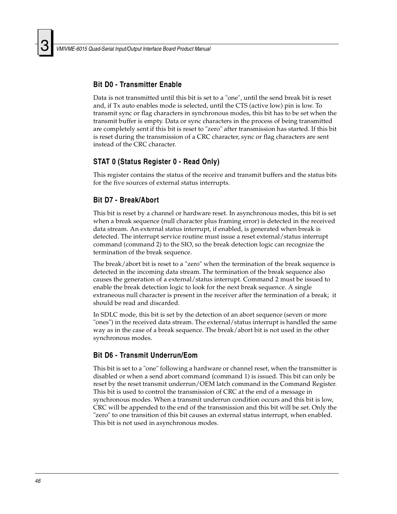#### **Bit D0 - Transmitter Enable**

Data is not transmitted until this bit is set to a "one", until the send break bit is reset and, if Tx auto enables mode is selected, until the CTS (active low) pin is low. To transmit sync or flag characters in synchronous modes, this bit has to be set when the transmit buffer is empty. Data or sync characters in the process of being transmitted are completely sent if this bit is reset to "zero" after transmission has started. If this bit is reset during the transmission of a CRC character, sync or flag characters are sent instead of the CRC character.

#### **STAT 0 (Status Register 0 - Read Only)**

This register contains the status of the receive and transmit buffers and the status bits for the five sources of external status interrupts.

#### **Bit D7 - Break/Abort**

This bit is reset by a channel or hardware reset. In asynchronous modes, this bit is set when a break sequence (null character plus framing error) is detected in the received data stream. An external status interrupt, if enabled, is generated when break is detected. The interrupt service routine must issue a reset external/status interrupt command (command 2) to the SIO, so the break detection logic can recognize the termination of the break sequence.

The break/abort bit is reset to a "zero" when the termination of the break sequence is detected in the incoming data stream. The termination of the break sequence also causes the generation of a external/status interrupt. Command 2 must be issued to enable the break detection logic to look for the next break sequence. A single extraneous null character is present in the receiver after the termination of a break; it should be read and discarded.

In SDLC mode, this bit is set by the detection of an abort sequence (seven or more "ones") in the received data stream. The external/status interrupt is handled the same way as in the case of a break sequence. The break/abort bit is not used in the other synchronous modes.

#### **Bit D6 - Transmit Underrun/Eom**

This bit is set to a "one" following a hardware or channel reset, when the transmitter is disabled or when a send abort command (command 1) is issued. This bit can only be reset by the reset transmit underrun/OEM latch command in the Command Register. This bit is used to control the transmission of CRC at the end of a message in synchronous modes. When a transmit underrun condition occurs and this bit is low, CRC will be appended to the end of the transmission and this bit will be set. Only the "zero" to one transition of this bit causes an external status interrupt, when enabled. This bit is not used in asynchronous modes.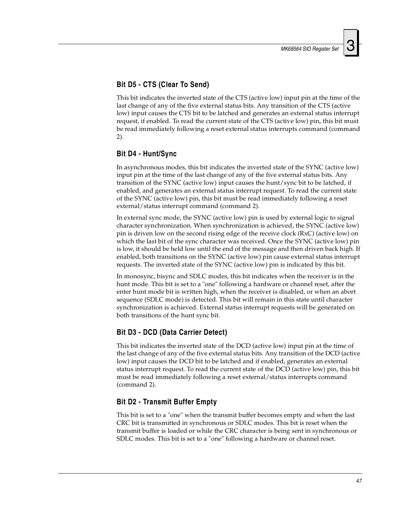#### **Bit D5 - CTS (Clear To Send)**

This bit indicates the inverted state of the CTS (active low) input pin at the time of the last change of any of the five external status bits. Any transition of the CTS (active low) input causes the CTS bit to be latched and generates an external status interrupt request, if enabled. To read the current state of the CTS (active low) pin, this bit must be read immediately following a reset external status interrupts command (command 2).

#### **Bit D4 - Hunt/Sync**

In asynchronous modes, this bit indicates the inverted state of the SYNC (active low) input pin at the time of the last change of any of the five external status bits. Any transition of the SYNC (active low) input causes the hunt/sync bit to be latched, if enabled, and generates an external status interrupt request. To read the current state of the SYNC (active low) pin, this bit must be read immediately following a reset external/status interrupt command (command 2).

In external sync mode, the SYNC (active low) pin is used by external logic to signal character synchronization. When synchronization is achieved, the SYNC (active low) pin is driven low on the second rising edge of the receive clock (RxC) (active low) on which the last bit of the sync character was received. Once the SYNC (active low) pin is low, it should be held low until the end of the message and then driven back high. If enabled, both transitions on the SYNC (active low) pin cause external status interrupt requests. The inverted state of the SYNC (active low) pin is indicated by this bit.

In monosync, bisync and SDLC modes, this bit indicates when the receiver is in the hunt mode. This bit is set to a "one" following a hardware or channel reset, after the enter hunt mode bit is written high, when the receiver is disabled, or when an abort sequence (SDLC mode) is detected. This bit will remain in this state until character synchronization is achieved. External status interrupt requests will be generated on both transitions of the hunt sync bit.

#### **Bit D3 - DCD (Data Carrier Detect)**

This bit indicates the inverted state of the DCD (active low) input pin at the time of the last change of any of the five external status bits. Any transition of the DCD (active low) input causes the DCD bit to be latched and if enabled, generates an external status interrupt request. To read the current state of the DCD (active low) pin, this bit must be read immediately following a reset external/status interrupts command (command 2).

#### **Bit D2 - Transmit Buffer Empty**

This bit is set to a "one" when the transmit buffer becomes empty and when the last CRC bit is transmitted in synchronous or SDLC modes. This bit is reset when the transmit buffer is loaded or while the CRC character is being sent in synchronous or SDLC modes. This bit is set to a "one" following a hardware or channel reset.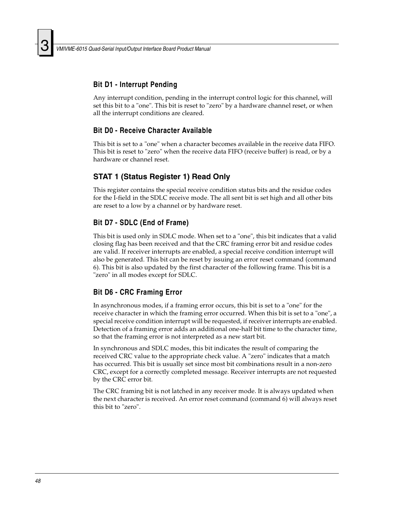#### **Bit D1 - Interrupt Pending**

Any interrupt condition, pending in the interrupt control logic for this channel, will set this bit to a "one". This bit is reset to "zero" by a hardware channel reset, or when all the interrupt conditions are cleared.

#### **Bit D0 - Receive Character Available**

This bit is set to a "one" when a character becomes available in the receive data FIFO. This bit is reset to "zero" when the receive data FIFO (receive buffer) is read, or by a hardware or channel reset.

#### **STAT 1 (Status Register 1) Read Only**

This register contains the special receive condition status bits and the residue codes for the I-field in the SDLC receive mode. The all sent bit is set high and all other bits are reset to a low by a channel or by hardware reset.

#### **Bit D7 - SDLC (End of Frame)**

This bit is used only in SDLC mode. When set to a "one", this bit indicates that a valid closing flag has been received and that the CRC framing error bit and residue codes are valid. If receiver interrupts are enabled, a special receive condition interrupt will also be generated. This bit can be reset by issuing an error reset command (command 6). This bit is also updated by the first character of the following frame. This bit is a "zero" in all modes except for SDLC.

#### **Bit D6 - CRC Framing Error**

In asynchronous modes, if a framing error occurs, this bit is set to a "one" for the receive character in which the framing error occurred. When this bit is set to a "one", a special receive condition interrupt will be requested, if receiver interrupts are enabled. Detection of a framing error adds an additional one-half bit time to the character time, so that the framing error is not interpreted as a new start bit.

In synchronous and SDLC modes, this bit indicates the result of comparing the received CRC value to the appropriate check value. A "zero" indicates that a match has occurred. This bit is usually set since most bit combinations result in a non-zero CRC, except for a correctly completed message. Receiver interrupts are not requested by the CRC error bit.

The CRC framing bit is not latched in any receiver mode. It is always updated when the next character is received. An error reset command (command 6) will always reset this bit to "zero".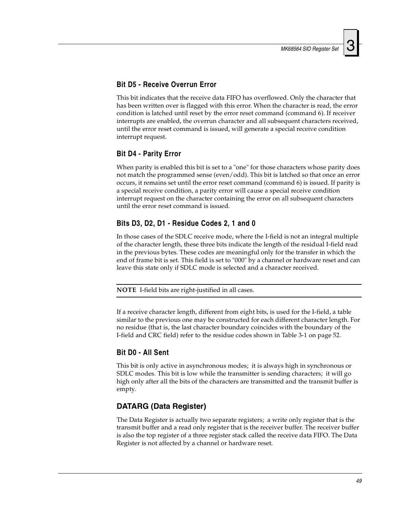#### **Bit D5 - Receive Overrun Error**

This bit indicates that the receive data FIFO has overflowed. Only the character that has been written over is flagged with this error. When the character is read, the error condition is latched until reset by the error reset command (command 6). If receiver interrupts are enabled, the overrun character and all subsequent characters received, until the error reset command is issued, will generate a special receive condition interrupt request.

#### **Bit D4 - Parity Error**

When parity is enabled this bit is set to a "one" for those characters whose parity does not match the programmed sense (even/odd). This bit is latched so that once an error occurs, it remains set until the error reset command (command 6) is issued. If parity is a special receive condition, a parity error will cause a special receive condition interrupt request on the character containing the error on all subsequent characters until the error reset command is issued.

#### **Bits D3, D2, D1 - Residue Codes 2, 1 and 0**

In those cases of the SDLC receive mode, where the I-field is not an integral multiple of the character length, these three bits indicate the length of the residual I-field read in the previous bytes. These codes are meaningful only for the transfer in which the end of frame bit is set. This field is set to "000" by a channel or hardware reset and can leave this state only if SDLC mode is selected and a character received.

**NOTE** I-field bits are right-justified in all cases.

If a receive character length, different from eight bits, is used for the I-field, a table similar to the previous one may be constructed for each different character length. For no residue (that is, the last character boundary coincides with the boundary of the I-field and CRC field) refer to the residue codes shown in [Table 3-1 on page 52.](#page-51-0)

#### **Bit D0 - All Sent**

This bit is only active in asynchronous modes; it is always high in synchronous or SDLC modes. This bit is low while the transmitter is sending characters; it will go high only after all the bits of the characters are transmitted and the transmit buffer is empty.

#### **DATARG (Data Register)**

The Data Register is actually two separate registers; a write only register that is the transmit buffer and a read only register that is the receiver buffer. The receiver buffer is also the top register of a three register stack called the receive data FIFO. The Data Register is not affected by a channel or hardware reset.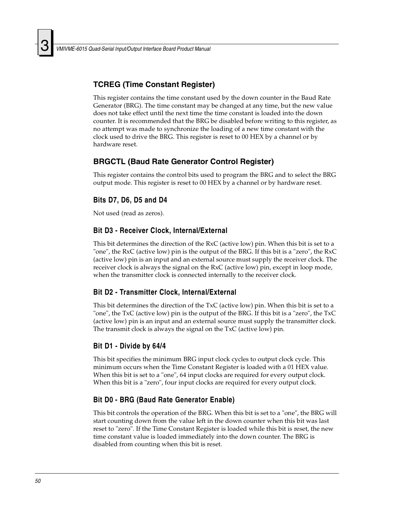#### **TCREG (Time Constant Register)**

This register contains the time constant used by the down counter in the Baud Rate Generator (BRG). The time constant may be changed at any time, but the new value does not take effect until the next time the time constant is loaded into the down counter. It is recommended that the BRG be disabled before writing to this register, as no attempt was made to synchronize the loading of a new time constant with the clock used to drive the BRG. This register is reset to 00 HEX by a channel or by hardware reset.

#### **BRGCTL (Baud Rate Generator Control Register)**

This register contains the control bits used to program the BRG and to select the BRG output mode. This register is reset to 00 HEX by a channel or by hardware reset.

#### **Bits D7, D6, D5 and D4**

Not used (read as zeros).

#### **Bit D3 - Receiver Clock, Internal/External**

This bit determines the direction of the RxC (active low) pin. When this bit is set to a "one", the RxC (active low) pin is the output of the BRG. If this bit is a "zero", the RxC (active low) pin is an input and an external source must supply the receiver clock. The receiver clock is always the signal on the RxC (active low) pin, except in loop mode, when the transmitter clock is connected internally to the receiver clock.

#### **Bit D2 - Transmitter Clock, Internal/External**

This bit determines the direction of the TxC (active low) pin. When this bit is set to a "one", the TxC (active low) pin is the output of the BRG. If this bit is a "zero", the TxC (active low) pin is an input and an external source must supply the transmitter clock. The transmit clock is always the signal on the TxC (active low) pin.

#### **Bit D1 - Divide by 64/4**

This bit specifies the minimum BRG input clock cycles to output clock cycle. This minimum occurs when the Time Constant Register is loaded with a 01 HEX value. When this bit is set to a "one", 64 input clocks are required for every output clock. When this bit is a "zero", four input clocks are required for every output clock.

#### **Bit D0 - BRG (Baud Rate Generator Enable)**

This bit controls the operation of the BRG. When this bit is set to a "one", the BRG will start counting down from the value left in the down counter when this bit was last reset to "zero". If the Time Constant Register is loaded while this bit is reset, the new time constant value is loaded immediately into the down counter. The BRG is disabled from counting when this bit is reset.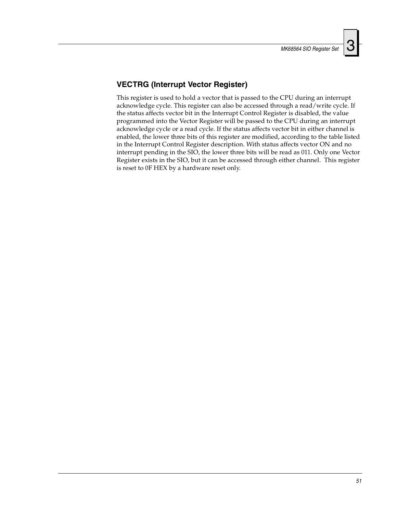#### **VECTRG (Interrupt Vector Register)**

This register is used to hold a vector that is passed to the CPU during an interrupt acknowledge cycle. This register can also be accessed through a read/write cycle. If the status affects vector bit in the Interrupt Control Register is disabled, the value programmed into the Vector Register will be passed to the CPU during an interrupt acknowledge cycle or a read cycle. If the status affects vector bit in either channel is enabled, the lower three bits of this register are modified, according to the table listed in the Interrupt Control Register description. With status affects vector ON and no interrupt pending in the SIO, the lower three bits will be read as 011. Only one Vector Register exists in the SIO, but it can be accessed through either channel. This register is reset to 0F HEX by a hardware reset only.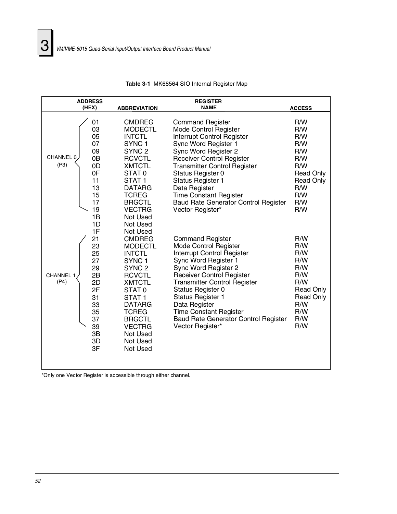<span id="page-51-0"></span>

| <b>ADDRESS</b>                                                                                                                       |                                                                                                                                                                                                                                                                                                       | <b>REGISTER</b>                                                                                                                                                                                                                                                                                                                                                                        |                                                                                                                   |
|--------------------------------------------------------------------------------------------------------------------------------------|-------------------------------------------------------------------------------------------------------------------------------------------------------------------------------------------------------------------------------------------------------------------------------------------------------|----------------------------------------------------------------------------------------------------------------------------------------------------------------------------------------------------------------------------------------------------------------------------------------------------------------------------------------------------------------------------------------|-------------------------------------------------------------------------------------------------------------------|
| (HEX)                                                                                                                                | <b>ABBREVIATION</b>                                                                                                                                                                                                                                                                                   | <b>NAME</b>                                                                                                                                                                                                                                                                                                                                                                            | <b>ACCESS</b>                                                                                                     |
| 01<br>03<br>05<br>07<br>09<br>CHANNEL 0<br>0B<br>(P3)<br>0D<br>0F<br>11<br>13<br>15<br>17<br>19<br>1B                                | <b>CMDREG</b><br><b>MODECTL</b><br><b>INTCTL</b><br>SYNC <sub>1</sub><br>SYNC <sub>2</sub><br><b>RCVCTL</b><br><b>XMTCTL</b><br>STAT <sub>0</sub><br>STAT <sub>1</sub><br><b>DATARG</b><br><b>TCREG</b><br><b>BRGCTL</b><br><b>VECTRG</b><br>Not Used                                                 | <b>Command Register</b><br>Mode Control Register<br><b>Interrupt Control Register</b><br>Sync Word Register 1<br>Sync Word Register 2<br><b>Receiver Control Register</b><br><b>Transmitter Control Register</b><br>Status Register 0<br><b>Status Register 1</b><br>Data Register<br><b>Time Constant Register</b><br><b>Baud Rate Generator Control Register</b><br>Vector Register* | R/W<br>R/W<br>R/W<br>R/W<br>R/W<br>R/W<br>R/W<br><b>Read Only</b><br><b>Read Only</b><br>R/W<br>R/W<br>R/W<br>R/W |
| 1D<br>1F<br>21<br>23<br>25<br>27<br>29<br>2B<br><b>CHANNEL 1</b><br>(P4)<br>2D<br>2F<br>31<br>33<br>35<br>37<br>39<br>3B<br>3D<br>3F | Not Used<br>Not Used<br><b>CMDREG</b><br><b>MODECTL</b><br><b>INTCTL</b><br>SYNC <sub>1</sub><br>SYNC <sub>2</sub><br><b>RCVCTL</b><br><b>XMTCTL</b><br>STAT <sub>0</sub><br>STAT <sub>1</sub><br><b>DATARG</b><br><b>TCREG</b><br><b>BRGCTL</b><br><b>VECTRG</b><br>Not Used<br>Not Used<br>Not Used | <b>Command Register</b><br>Mode Control Register<br>Interrupt Control Register<br>Sync Word Register 1<br>Sync Word Register 2<br><b>Receiver Control Register</b><br><b>Transmitter Control Register</b><br>Status Register 0<br><b>Status Register 1</b><br>Data Register<br><b>Time Constant Register</b><br><b>Baud Rate Generator Control Register</b><br>Vector Register*        | R/W<br>R/W<br>R/W<br>R/W<br>R/W<br>R/W<br>R/W<br><b>Read Only</b><br><b>Read Only</b><br>R/W<br>R/W<br>R/W<br>R/W |

|  | Table 3-1 MK68564 SIO Internal Register Map |  |  |  |  |
|--|---------------------------------------------|--|--|--|--|
|--|---------------------------------------------|--|--|--|--|

\*Only one Vector Register is accessible through either channel.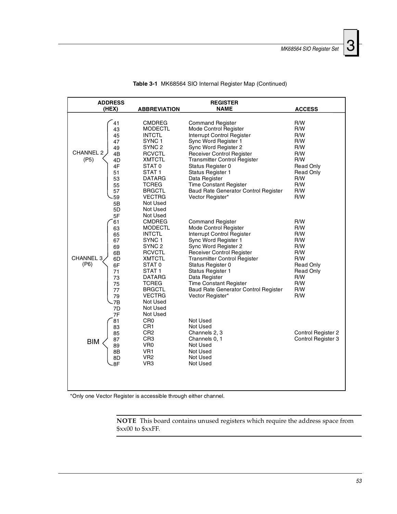| <b>ADDRESS</b>                                                                                                            |                                                                                                                                                                                                                                                                    | <b>REGISTER</b>                                                                                                                                                                                                                                                                                                                                                   |                                                                                                                   |
|---------------------------------------------------------------------------------------------------------------------------|--------------------------------------------------------------------------------------------------------------------------------------------------------------------------------------------------------------------------------------------------------------------|-------------------------------------------------------------------------------------------------------------------------------------------------------------------------------------------------------------------------------------------------------------------------------------------------------------------------------------------------------------------|-------------------------------------------------------------------------------------------------------------------|
| (HEX)                                                                                                                     | <b>ABBREVIATION</b>                                                                                                                                                                                                                                                | <b>NAME</b>                                                                                                                                                                                                                                                                                                                                                       | <b>ACCESS</b>                                                                                                     |
| 41<br>43<br>45<br>47<br>49<br><b>CHANNEL 2</b><br>4B<br>(P5)<br>4D<br>4F<br>51<br>53<br>55<br>57<br>59<br>5B<br>5D        | <b>CMDREG</b><br><b>MODECTL</b><br><b>INTCTL</b><br>SYNC <sub>1</sub><br>SYNC <sub>2</sub><br><b>RCVCTL</b><br><b>XMTCTL</b><br>STAT 0<br>STAT <sub>1</sub><br><b>DATARG</b><br><b>TCREG</b><br><b>BRGCTL</b><br><b>VECTRG</b><br>Not Used<br>Not Used             | <b>Command Register</b><br>Mode Control Register<br>Interrupt Control Register<br>Sync Word Register 1<br>Sync Word Register 2<br>Receiver Control Register<br><b>Transmitter Control Register</b><br>Status Register 0<br>Status Register 1<br>Data Register<br><b>Time Constant Register</b><br>Baud Rate Generator Control Register<br>Vector Register*        | R/W<br>R/W<br>R/W<br>R/W<br>R/W<br>R/W<br>R/W<br><b>Read Only</b><br><b>Read Only</b><br>R/W<br>R/W<br>R/W<br>R/W |
| 5F<br>61<br>63<br>65<br>67<br>69<br>6B<br><b>CHANNEL 3</b><br>6D<br>(P6)<br>6F<br>71<br>73<br>75<br>77<br>79<br>.7B<br>7D | Not Used<br><b>CMDREG</b><br><b>MODECTL</b><br><b>INTCTL</b><br>SYNC <sub>1</sub><br>SYNC <sub>2</sub><br><b>RCVCTL</b><br><b>XMTCTL</b><br>STAT 0<br>STAT <sub>1</sub><br><b>DATARG</b><br><b>TCREG</b><br><b>BRGCTL</b><br><b>VECTRG</b><br>Not Used<br>Not Used | <b>Command Register</b><br>Mode Control Register<br>Interrupt Control Register<br>Sync Word Register 1<br>Sync Word Register 2<br><b>Receiver Control Register</b><br><b>Transmitter Control Register</b><br>Status Register 0<br>Status Register 1<br>Data Register<br><b>Time Constant Register</b><br>Baud Rate Generator Control Register<br>Vector Register* | R/W<br>R/W<br>R/W<br>R/W<br>R/W<br>R/W<br>R/W<br><b>Read Only</b><br><b>Read Only</b><br>R/W<br>R/W<br>R/W<br>R/W |
| 7F<br>81<br>83<br>85<br>87<br><b>BIM</b><br>89<br>8B<br>8D<br>8F                                                          | Not Used<br>CR <sub>0</sub><br>CR <sub>1</sub><br>CR <sub>2</sub><br>CR <sub>3</sub><br>VR <sub>0</sub><br>VR <sub>1</sub><br>VR <sub>2</sub><br>VR <sub>3</sub>                                                                                                   | Not Used<br>Not Used<br>Channels 2, 3<br>Channels 0, 1<br>Not Used<br>Not Used<br>Not Used<br>Not Used                                                                                                                                                                                                                                                            | Control Register 2<br>Control Register 3                                                                          |

#### **Table 3-1** MK68564 SIO Internal Register Map (Continued)

\*Only one Vector Register is accessible through either channel.

**NOTE** This board contains unused registers which require the address space from  $$xx00$  to  $$xxFF$ .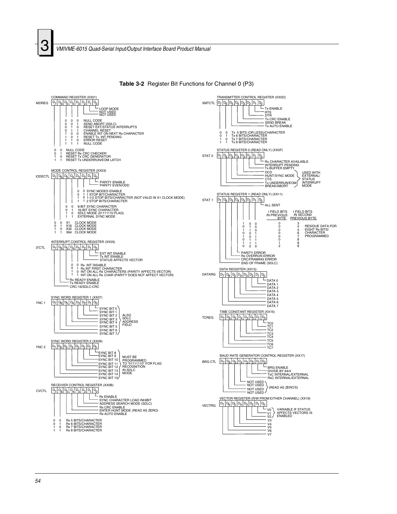

<span id="page-53-0"></span>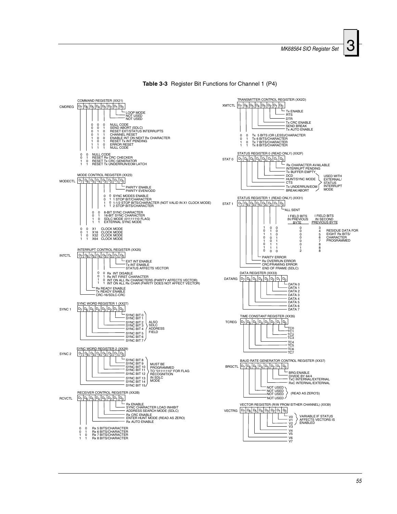

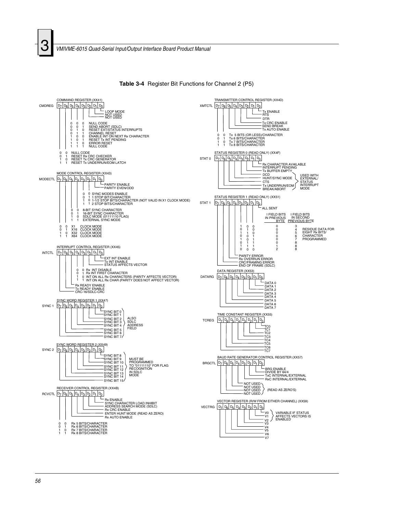

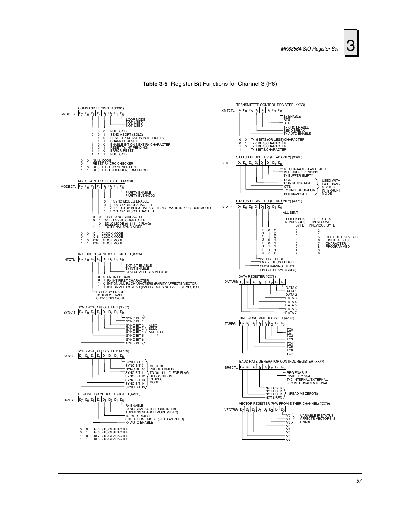<span id="page-56-0"></span>

**Table 3-5** Register Bit Functions for Channel 3 (P6)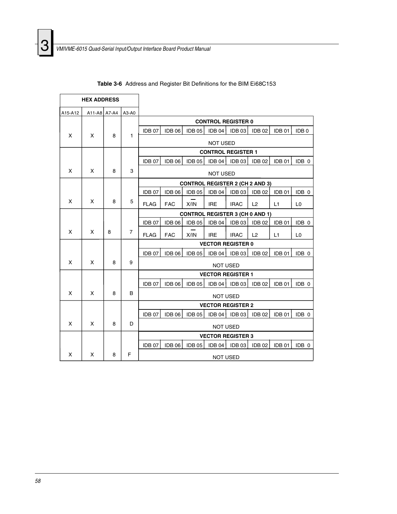<span id="page-57-0"></span>

| <b>HEX ADDRESS</b> |              |   |       |                                        |                                        |                   |                           |                   |               |                   |                  |
|--------------------|--------------|---|-------|----------------------------------------|----------------------------------------|-------------------|---------------------------|-------------------|---------------|-------------------|------------------|
| A15-A12            | A11-A8 A7-A4 |   | A3-A0 |                                        |                                        |                   |                           |                   |               |                   |                  |
|                    |              |   |       |                                        | <b>CONTROL REGISTER 0</b>              |                   |                           |                   |               |                   |                  |
|                    | X            |   | 1     | IDB 07                                 | IDB 06                                 | IDB 05            | IDB <sub>04</sub>         | IDB 03            | <b>IDB 02</b> | IDB 01            | IDB <sub>0</sub> |
| X                  |              | 8 |       |                                        | <b>NOT USED</b>                        |                   |                           |                   |               |                   |                  |
|                    |              |   |       |                                        |                                        |                   | <b>CONTROL REGISTER 1</b> |                   |               |                   |                  |
|                    |              |   |       | IDB 07                                 | IDB 06                                 | IDB <sub>05</sub> | <b>IDB 04</b>             | <b>IDB 03</b>     | <b>IDB 02</b> | IDB 01            | IDB 0            |
| X                  | X            | 8 | 3     |                                        |                                        |                   | <b>NOT USED</b>           |                   |               |                   |                  |
|                    |              |   |       | <b>CONTROL REGISTER 2 (CH 2 AND 3)</b> |                                        |                   |                           |                   |               |                   |                  |
|                    |              |   |       | IDB 07                                 | <b>IDB 06</b>                          | IDB <sub>05</sub> | IDB 04                    | <b>IDB 03</b>     | <b>IDB 02</b> | IDB <sub>01</sub> | IDB 0            |
| X                  | X            | 8 | 5     | <b>FLAG</b>                            | <b>FAC</b>                             | X/IN              | <b>IRE</b>                | <b>IRAC</b>       | L2            | L1                | L <sub>0</sub>   |
|                    |              |   |       |                                        | <b>CONTROL REGISTER 3 (CH 0 AND 1)</b> |                   |                           |                   |               |                   |                  |
|                    |              |   |       | IDB 07                                 | IDB <sub>06</sub>                      | IDB <sub>05</sub> | IDB04                     | IDB <sub>03</sub> | <b>IDB 02</b> | IDB 01            | IDB 0            |
| X                  | x            | 8 | 7     | <b>FLAG</b>                            | <b>FAC</b>                             | X/IN              | <b>IRE</b>                | <b>IRAC</b>       | L2            | L1                | L <sub>0</sub>   |
|                    |              |   |       |                                        | <b>VECTOR REGISTER 0</b>               |                   |                           |                   |               |                   |                  |
|                    |              |   |       | IDB 07                                 | IDB <sub>06</sub>                      | <b>IDB 05</b>     | IDB <sub>04</sub>         | IDB <sub>03</sub> | <b>IDB 02</b> | IDB <sub>01</sub> | IDB <sub>0</sub> |
| x                  | X            | 8 | 9     |                                        |                                        |                   | <b>NOT USED</b>           |                   |               |                   |                  |
|                    |              |   |       |                                        |                                        |                   | <b>VECTOR REGISTER 1</b>  |                   |               |                   |                  |
|                    |              |   |       | IDB 07                                 | <b>IDB 06</b>                          | IDB <sub>05</sub> | IDB 04                    | IDB 03            | <b>IDB 02</b> | IDB 01            | IDB 0            |
| X                  | X            | 8 | B     |                                        |                                        |                   | <b>NOT USED</b>           |                   |               |                   |                  |
|                    |              |   |       |                                        |                                        |                   | <b>VECTOR REGISTER 2</b>  |                   |               |                   |                  |
|                    |              |   |       | IDB 07                                 | <b>IDB 06</b>                          | IDB 05            | IDB04                     | IDB <sub>03</sub> | <b>IDB 02</b> | IDB <sub>01</sub> | IDB <sub>0</sub> |
| X                  | X            | 8 | D     |                                        |                                        |                   | <b>NOT USED</b>           |                   |               |                   |                  |
|                    |              |   |       |                                        |                                        |                   | <b>VECTOR REGISTER 3</b>  |                   |               |                   |                  |
|                    |              |   |       | IDB 07                                 | <b>IDB 06</b>                          | IDB <sub>05</sub> | IDB 04                    | <b>IDB 03</b>     | <b>IDB 02</b> | IDB <sub>01</sub> | IDB 0            |
| X                  | X            | 8 | F     |                                        |                                        |                   | <b>NOT USED</b>           |                   |               |                   |                  |

#### **Table 3-6** Address and Register Bit Definitions for the BIM Ei68C153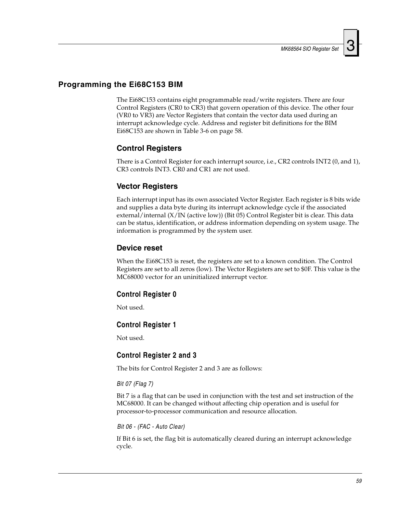#### **Programming the Ei68C153 BIM**

The Ei68C153 contains eight programmable read/write registers. There are four Control Registers (CR0 to CR3) that govern operation of this device. The other four (VR0 to VR3) are Vector Registers that contain the vector data used during an interrupt acknowledge cycle. Address and register bit definitions for the BIM Ei68C153 are shown in [Table 3-6 on page 58](#page-57-0).

#### **Control Registers**

There is a Control Register for each interrupt source, i.e., CR2 controls INT2 (0, and 1), CR3 controls INT3. CR0 and CR1 are not used.

#### **Vector Registers**

Each interrupt input has its own associated Vector Register. Each register is 8 bits wide and supplies a data byte during its interrupt acknowledge cycle if the associated external/internal (X/IN (active low)) (Bit 05) Control Register bit is clear. This data can be status, identification, or address information depending on system usage. The information is programmed by the system user.

#### **Device reset**

When the Ei68C153 is reset, the registers are set to a known condition. The Control Registers are set to all zeros (low). The Vector Registers are set to \$0F. This value is the MC68000 vector for an uninitialized interrupt vector.

#### **Control Register 0**

Not used.

#### **Control Register 1**

Not used.

#### **Control Register 2 and 3**

The bits for Control Register 2 and 3 are as follows:

#### *Bit 07 (Flag 7)*

Bit 7 is a flag that can be used in conjunction with the test and set instruction of the MC68000. It can be changed without affecting chip operation and is useful for processor-to-processor communication and resource allocation.

#### *Bit 06 - (FAC - Auto Clear)*

If Bit 6 is set, the flag bit is automatically cleared during an interrupt acknowledge cycle.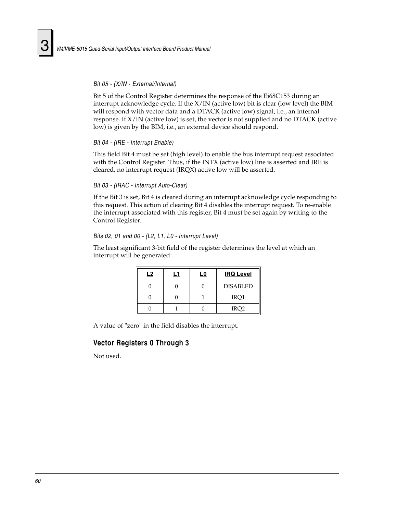#### *Bit 05 - (X/IN - External/Internal)*

Bit 5 of the Control Register determines the response of the Ei68C153 during an interrupt acknowledge cycle. If the  $X/IN$  (active low) bit is clear (low level) the BIM will respond with vector data and a DTACK (active low) signal, i.e., an internal response. If X/IN (active low) is set, the vector is not supplied and no DTACK (active low) is given by the BIM, i.e., an external device should respond.

#### *Bit 04 - (IRE - Interrupt Enable)*

This field Bit 4 must be set (high level) to enable the bus interrupt request associated with the Control Register. Thus, if the INTX (active low) line is asserted and IRE is cleared, no interrupt request (IRQX) active low will be asserted.

#### *Bit 03 - (IRAC - Interrupt Auto-Clear)*

If the Bit 3 is set, Bit 4 is cleared during an interrupt acknowledge cycle responding to this request. This action of clearing Bit 4 disables the interrupt request. To re-enable the interrupt associated with this register, Bit 4 must be set again by writing to the Control Register.

#### *Bits 02, 01 and 00 - (L2, L1, L0 - Interrupt Level)*

The least significant 3-bit field of the register determines the level at which an interrupt will be generated:

| <u>L2</u> | <u>L1</u> | <u>L0</u> | <b>IRQ Level</b> |
|-----------|-----------|-----------|------------------|
|           |           |           | <b>DISABLED</b>  |
|           |           |           | IRQ1             |
|           |           |           | IRQ <sub>2</sub> |

A value of "zero" in the field disables the interrupt.

#### **Vector Registers 0 Through 3**

Not used.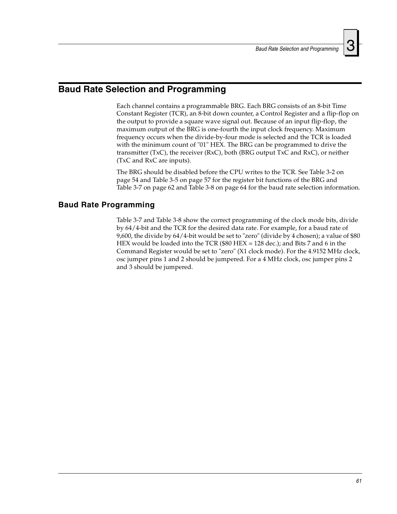### **Baud Rate Selection and Programming**

Each channel contains a programmable BRG. Each BRG consists of an 8-bit Time Constant Register (TCR), an 8-bit down counter, a Control Register and a flip-flop on the output to provide a square wave signal out. Because of an input flip-flop, the maximum output of the BRG is one-fourth the input clock frequency. Maximum frequency occurs when the divide-by-four mode is selected and the TCR is loaded with the minimum count of "01" HEX. The BRG can be programmed to drive the transmitter (TxC), the receiver (RxC), both (BRG output TxC and RxC), or neither (TxC and RxC are inputs).

The BRG should be disabled before the CPU writes to the TCR. See [Table 3-2 on](#page-53-0)  [page 54](#page-53-0) and [Table 3-5 on page 57](#page-56-0) for the register bit functions of the BRG and [Table 3-7 on page 62](#page-61-0) and [Table 3-8 on page 64](#page-63-0) for the baud rate selection information.

#### **Baud Rate Programming**

[Table 3-7](#page-61-0) and [Table 3-8](#page-63-0) show the correct programming of the clock mode bits, divide by 64/4-bit and the TCR for the desired data rate. For example, for a baud rate of 9,600, the divide by 64/4-bit would be set to "zero" (divide by 4 chosen); a value of \$80 HEX would be loaded into the TCR (\$80 HEX = 128 dec.); and Bits 7 and 6 in the Command Register would be set to "zero" (X1 clock mode). For the 4.9152 MHz clock, osc jumper pins 1 and 2 should be jumpered. For a 4 MHz clock, osc jumper pins 2 and 3 should be jumpered.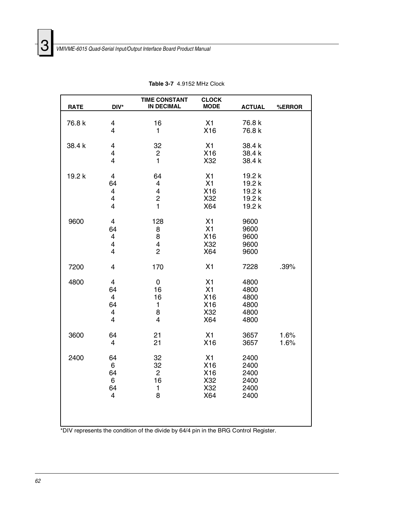<span id="page-61-0"></span>

| <b>RATE</b> | DIV*                                                      | <b>TIME CONSTANT</b><br><b>IN DECIMAL</b>                            | <b>CLOCK</b><br><b>MODE</b>                      | <b>ACTUAL</b>                                  | %ERROR       |
|-------------|-----------------------------------------------------------|----------------------------------------------------------------------|--------------------------------------------------|------------------------------------------------|--------------|
| 76.8 k      | $\overline{\mathbf{4}}$<br>$\overline{\mathbf{4}}$        | 16<br>$\mathbf{1}$                                                   | X1<br>X16                                        | 76.8 k<br>76.8 k                               |              |
| 38.4 k      | 4<br>$\overline{\mathbf{4}}$<br>4                         | 32<br>2<br>$\mathbf{1}$                                              | X1<br>X16<br>X32                                 | 38.4 k<br>38.4 k<br>38.4 k                     |              |
| 19.2 k      | 4<br>64<br>4<br>4<br>4                                    | 64<br>4<br>$\overline{\mathbf{4}}$<br>$\overline{c}$<br>$\mathbf{1}$ | X <sub>1</sub><br>X1<br>X16<br>X32<br>X64        | 19.2 k<br>19.2 k<br>19.2 k<br>19.2 k<br>19.2 k |              |
| 9600        | 4<br>64<br>4<br>$\overline{\mathbf{4}}$<br>$\overline{4}$ | 128<br>8<br>8<br>$\overline{\mathcal{A}}$<br>$\overline{2}$          | X1<br>X1<br>X16<br>X32<br>X64                    | 9600<br>9600<br>9600<br>9600<br>9600           |              |
| 7200        | 4                                                         | 170                                                                  | X <sub>1</sub>                                   | 7228                                           | .39%         |
| 4800        | 4<br>64<br>$\overline{4}$<br>64<br>4<br>4                 | 0<br>16<br>16<br>1<br>8<br>$\overline{4}$                            | X <sub>1</sub><br>X1<br>X16<br>X16<br>X32<br>X64 | 4800<br>4800<br>4800<br>4800<br>4800<br>4800   |              |
| 3600        | 64<br>$\overline{4}$                                      | 21<br>21                                                             | X1<br>X16                                        | 3657<br>3657                                   | 1.6%<br>1.6% |
| 2400        | 64<br>6<br>64<br>6<br>64<br>$\overline{\mathbf{4}}$       | 32<br>32<br>$\overline{c}$<br>16<br>1<br>8                           | X1<br>X16<br>X16<br>X32<br>X32<br>X64            | 2400<br>2400<br>2400<br>2400<br>2400<br>2400   |              |

\*DIV represents the condition of the divide by 64/4 pin in the BRG Control Register.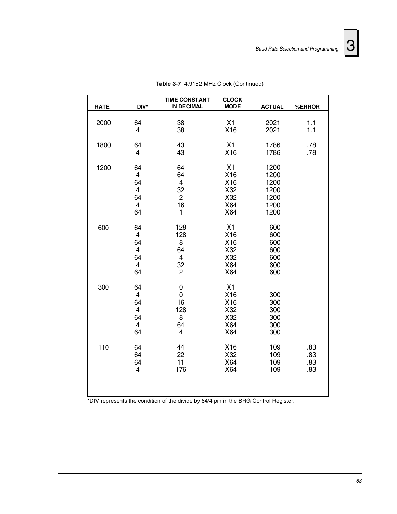

| <b>RATE</b> | DIV*                                                                       | <b>TIME CONSTANT</b><br><b>IN DECIMAL</b>                       | <b>CLOCK</b><br><b>MODE</b>                  | <b>ACTUAL</b>                                        | %ERROR                   |
|-------------|----------------------------------------------------------------------------|-----------------------------------------------------------------|----------------------------------------------|------------------------------------------------------|--------------------------|
| 2000        | 64<br>4                                                                    | 38<br>38                                                        | X1<br>X16                                    | 2021<br>2021                                         | 1.1<br>1.1               |
| 1800        | 64<br>$\overline{4}$                                                       | 43<br>43                                                        | X1<br>X16                                    | 1786<br>1786                                         | .78<br>.78               |
| 1200        | 64<br>$\overline{4}$<br>64<br>$\overline{4}$<br>64<br>$\overline{4}$<br>64 | 64<br>64<br>$\overline{4}$<br>32<br>$\overline{c}$<br>16<br>1   | X1<br>X16<br>X16<br>X32<br>X32<br>X64<br>X64 | 1200<br>1200<br>1200<br>1200<br>1200<br>1200<br>1200 |                          |
| 600         | 64<br>$\overline{4}$<br>64<br>$\overline{4}$<br>64<br>$\overline{4}$<br>64 | 128<br>128<br>8<br>64<br>$\overline{4}$<br>32<br>$\overline{c}$ | X1<br>X16<br>X16<br>X32<br>X32<br>X64<br>X64 | 600<br>600<br>600<br>600<br>600<br>600<br>600        |                          |
| 300         | 64<br>$\overline{4}$<br>64<br>$\overline{4}$<br>64<br>4<br>64              | 0<br>0<br>16<br>128<br>8<br>64<br>$\overline{4}$                | X1<br>X16<br>X16<br>X32<br>X32<br>X64<br>X64 | 300<br>300<br>300<br>300<br>300<br>300               |                          |
| 110         | 64<br>64<br>64<br>$\overline{4}$                                           | 44<br>22<br>11<br>176                                           | X16<br>X32<br>X64<br>X64                     | 109<br>109<br>109<br>109                             | .83<br>.83<br>.83<br>.83 |

**Table 3-7** 4.9152 MHz Clock (Continued)

\*DIV represents the condition of the divide by 64/4 pin in the BRG Control Register.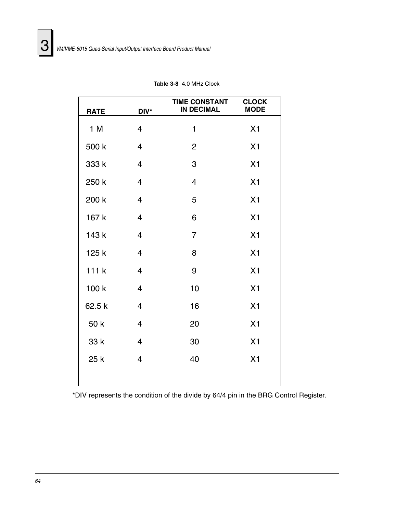<span id="page-63-0"></span>

| <b>RATE</b> | DIV*           | <b>TIME CONSTANT</b><br><b>IN DECIMAL</b> | <b>CLOCK</b><br><b>MODE</b> |
|-------------|----------------|-------------------------------------------|-----------------------------|
| 1 M         | 4              | 1                                         | X1                          |
|             | 4              | $\overline{2}$                            | X <sub>1</sub>              |
| 500 k       |                |                                           |                             |
| 333 k       | $\overline{4}$ | 3                                         | X1                          |
| 250 k       | 4              | $\overline{4}$                            | X <sub>1</sub>              |
| 200 k       | $\overline{4}$ | 5                                         | X <sub>1</sub>              |
| 167 k       | $\overline{4}$ | 6                                         | X <sub>1</sub>              |
| 143 k       | 4              | $\overline{7}$                            | X1                          |
| 125 k       | $\overline{4}$ | 8                                         | X <sub>1</sub>              |
| 111k        | 4              | 9                                         | X <sub>1</sub>              |
| 100 k       | $\overline{4}$ | 10                                        | X <sub>1</sub>              |
| 62.5 k      | $\overline{4}$ | 16                                        | X <sub>1</sub>              |
| 50 k        | $\overline{4}$ | 20                                        | X <sub>1</sub>              |
| 33 k        | $\overline{4}$ | 30                                        | X <sub>1</sub>              |
| 25 k        | $\overline{4}$ | 40                                        | X <sub>1</sub>              |
|             |                |                                           |                             |

**Table 3-8** 4.0 MHz Clock

\*DIV represents the condition of the divide by 64/4 pin in the BRG Control Register.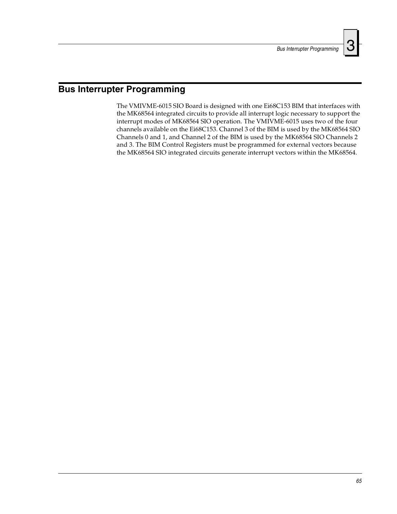### **Bus Interrupter Programming**

The VMIVME-6015 SIO Board is designed with one Ei68C153 BIM that interfaces with the MK68564 integrated circuits to provide all interrupt logic necessary to support the interrupt modes of MK68564 SIO operation. The VMIVME-6015 uses two of the four channels available on the Ei68C153. Channel 3 of the BIM is used by the MK68564 SIO Channels 0 and 1, and Channel 2 of the BIM is used by the MK68564 SIO Channels 2 and 3. The BIM Control Registers must be programmed for external vectors because the MK68564 SIO integrated circuits generate interrupt vectors within the MK68564.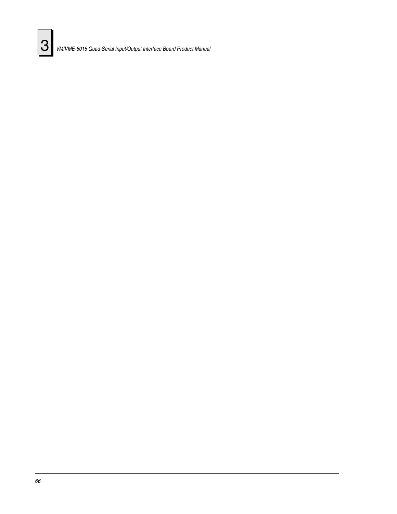

*VMIVME-6015 Quad-Serial Input/Output Interface Board Product Manual*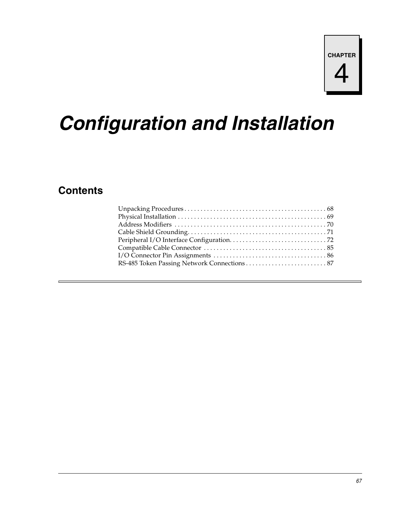# *Configuration and Installation*

# **Contents**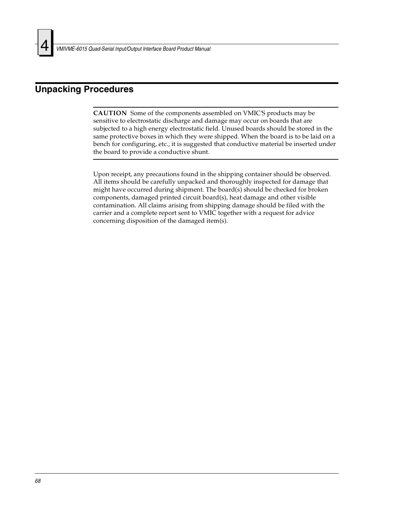### <span id="page-67-0"></span>**Unpacking Procedures**

**CAUTION** Some of the components assembled on VMIC'S products may be sensitive to electrostatic discharge and damage may occur on boards that are subjected to a high energy electrostatic field. Unused boards should be stored in the same protective boxes in which they were shipped. When the board is to be laid on a bench for configuring, etc., it is suggested that conductive material be inserted under the board to provide a conductive shunt.

Upon receipt, any precautions found in the shipping container should be observed. All items should be carefully unpacked and thoroughly inspected for damage that might have occurred during shipment. The board(s) should be checked for broken components, damaged printed circuit board(s), heat damage and other visible contamination. All claims arising from shipping damage should be filed with the carrier and a complete report sent to VMIC together with a request for advice concerning disposition of the damaged item(s).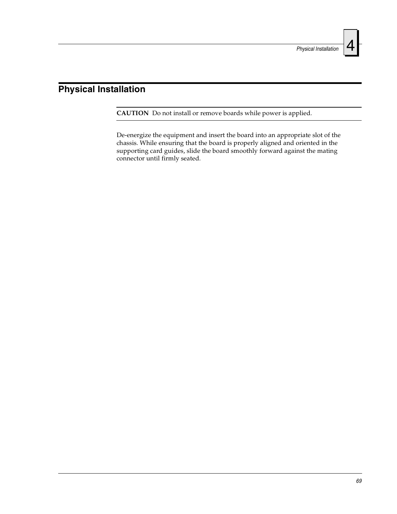## <span id="page-68-0"></span>**Physical Installation**

**CAUTION** Do not install or remove boards while power is applied.

De-energize the equipment and insert the board into an appropriate slot of the chassis. While ensuring that the board is properly aligned and oriented in the supporting card guides, slide the board smoothly forward against the mating connector until firmly seated.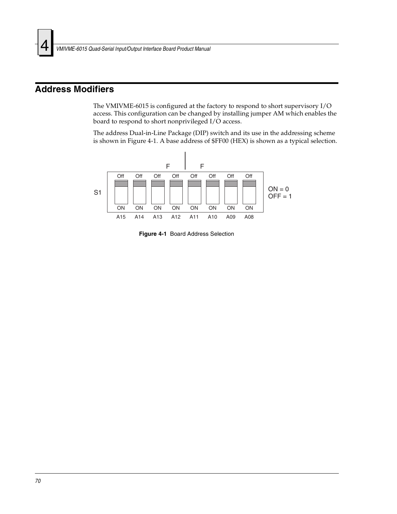### <span id="page-69-0"></span>**Address Modifiers**

The VMIVME-6015 is configured at the factory to respond to short supervisory I/O access. This configuration can be changed by installing jumper AM which enables the board to respond to short nonprivileged I/O access.

The address Dual-in-Line Package (DIP) switch and its use in the addressing scheme is shown in [Figure 4-1](#page-69-1). A base address of \$FF00 (HEX) is shown as a typical selection.

<span id="page-69-1"></span>

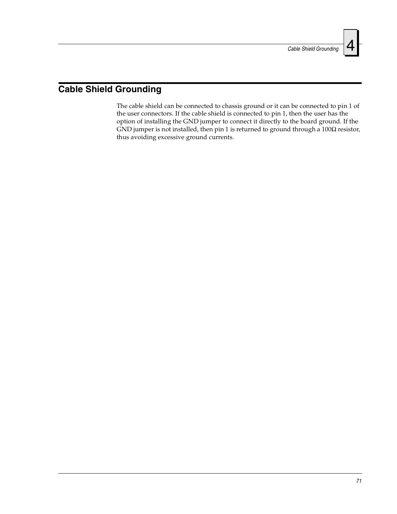# <span id="page-70-0"></span>**Cable Shield Grounding**

The cable shield can be connected to chassis ground or it can be connected to pin 1 of the user connectors. If the cable shield is connected to pin 1, then the user has the option of installing the GND jumper to connect it directly to the board ground. If the GND jumper is not installed, then pin 1 is returned to ground through a  $100\Omega$  resistor, thus avoiding excessive ground currents.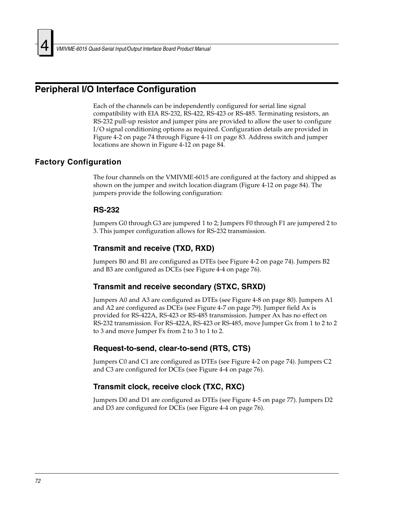### <span id="page-71-0"></span>**Peripheral I/O Interface Configuration**

Each of the channels can be independently configured for serial line signal compatibility with EIA RS-232, RS-422, RS-423 or RS-485. Terminating resistors, an RS-232 pull-up resistor and jumper pins are provided to allow the user to configure I/O signal conditioning options as required. Configuration details are provided in [Figure 4-2 on page 74](#page-73-0) through [Figure 4-11 on page 83](#page-82-0). Address switch and jumper locations are shown in [Figure 4-12 on page 84.](#page-83-0)

#### **Factory Configuration**

The four channels on the VMIVME-6015 are configured at the factory and shipped as shown on the jumper and switch location diagram [\(Figure 4-12 on page 84](#page-83-0)). The jumpers provide the following configuration:

#### **RS-232**

Jumpers G0 through G3 are jumpered 1 to 2; Jumpers F0 through F1 are jumpered 2 to 3. This jumper configuration allows for RS-232 transmission.

#### **Transmit and receive (TXD, RXD)**

Jumpers B0 and B1 are configured as DTEs (see [Figure 4-2 on page 74\)](#page-73-0). Jumpers B2 and B3 are configured as DCEs (see [Figure 4-4 on page 76](#page-75-0)).

#### **Transmit and receive secondary (STXC, SRXD)**

Jumpers A0 and A3 are configured as DTEs (see [Figure 4-8 on page 80\)](#page-79-0). Jumpers A1 and A2 are configured as DCEs (see [Figure 4-7 on page 79\)](#page-78-0). Jumper field Ax is provided for RS-422A, RS-423 or RS-485 transmission. Jumper Ax has no effect on RS-232 transmission. For RS-422A, RS-423 or RS-485, move Jumper Gx from 1 to 2 to 2 to 3 and move Jumper Fx from 2 to 3 to 1 to 2.

#### **Request-to-send, clear-to-send (RTS, CTS)**

Jumpers C0 and C1 are configured as DTEs (see [Figure 4-2 on page 74\)](#page-73-0). Jumpers C2 and C3 are configured for DCEs (see [Figure 4-4 on page 76\)](#page-75-0).

#### **Transmit clock, receive clock (TXC, RXC)**

Jumpers D0 and D1 are configured as DTEs (see [Figure 4-5 on page 77\)](#page-76-0). Jumpers D2 and D3 are configured for DCEs (see [Figure 4-4 on page 76](#page-75-0)).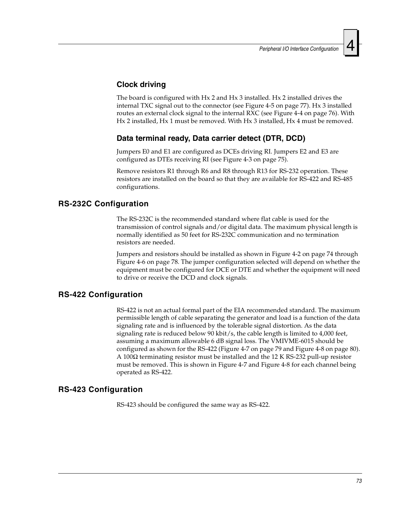## **Clock driving**

The board is configured with Hx 2 and Hx 3 installed. Hx 2 installed drives the internal TXC signal out to the connector (see [Figure 4-5 on page 77](#page-76-0)). Hx 3 installed routes an external clock signal to the internal RXC (see [Figure 4-4 on page 76](#page-75-0)). With Hx 2 installed, Hx 1 must be removed. With Hx 3 installed, Hx 4 must be removed.

## **Data terminal ready, Data carrier detect (DTR, DCD)**

Jumpers E0 and E1 are configured as DCEs driving RI. Jumpers E2 and E3 are configured as DTEs receiving RI (see [Figure 4-3 on page 75\)](#page-74-0).

Remove resistors R1 through R6 and R8 through R13 for RS-232 operation. These resistors are installed on the board so that they are available for RS-422 and RS-485 configurations.

## **RS-232C Configuration**

The RS-232C is the recommended standard where flat cable is used for the transmission of control signals and/or digital data. The maximum physical length is normally identified as 50 feet for RS-232C communication and no termination resistors are needed.

Jumpers and resistors should be installed as shown in [Figure 4-2 on page 74](#page-73-0) through [Figure 4-6 on page 78](#page-77-0). The jumper configuration selected will depend on whether the equipment must be configured for DCE or DTE and whether the equipment will need to drive or receive the DCD and clock signals.

## **RS-422 Configuration**

RS-422 is not an actual formal part of the EIA recommended standard. The maximum permissible length of cable separating the generator and load is a function of the data signaling rate and is influenced by the tolerable signal distortion. As the data signaling rate is reduced below 90 kbit/s, the cable length is limited to 4,000 feet, assuming a maximum allowable 6 dB signal loss. The VMIVME-6015 should be configured as shown for the RS-422 [\(Figure 4-7 on page 79](#page-78-0) and [Figure 4-8 on page 80\)](#page-79-0). A 100Ω terminating resistor must be installed and the 12 K RS-232 pull-up resistor must be removed. This is shown in [Figure 4-7](#page-78-0) and [Figure 4-8](#page-79-0) for each channel being operated as RS-422.

## **RS-423 Configuration**

RS-423 should be configured the same way as RS-422.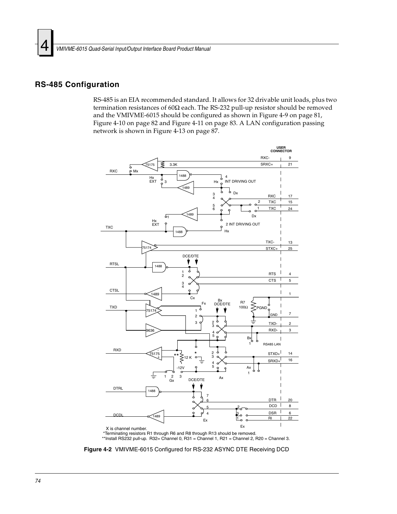#### **RS-485 Configuration**

RS-485 is an EIA recommended standard. It allows for 32 drivable unit loads, plus two termination resistances of 60Ω each. The RS-232 pull-up resistor should be removed and the VMIVME-6015 should be configured as shown in [Figure 4-9 on page 81,](#page-80-0) [Figure 4-10 on page 82](#page-81-0) and [Figure 4-11 on page 83](#page-82-0). A LAN configuration passing network is shown in [Figure 4-13 on page 87](#page-86-0).



<span id="page-73-0"></span>**Figure 4-2** VMIVME-6015 Configured for RS-232 ASYNC DTE Receiving DCD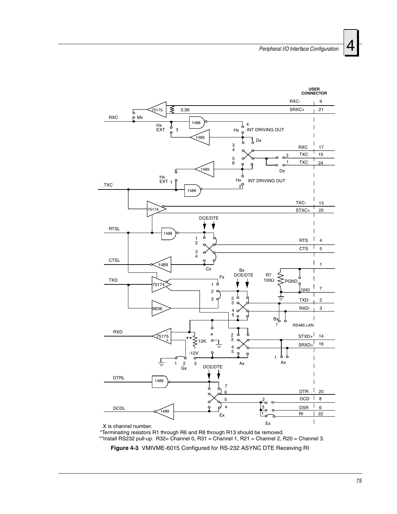

X is channel number.

<span id="page-74-0"></span>\*\*Install RS232 pull-up. R32= Channel 0, R31 = Channel 1, R21 = Channel 2, R20 = Channel 3. \*Terminating resistors R1 through R6 and R8 through R13 should be removed.

**Figure 4-3** VMIVME-6015 Configured for RS-232 ASYNC DTE Receiving RI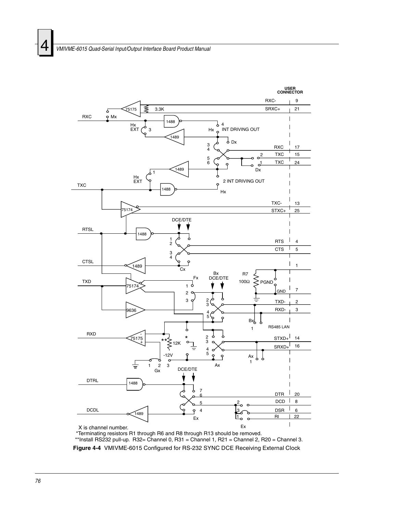

\*\*Install RS232 pull-up. R32= Channel 0, R31 = Channel 1, R21 = Channel 2, R20 = Channel 3. \*Terminating resistors R1 through R6 and R8 through R13 should be removed.

<span id="page-75-0"></span>**Figure 4-4** VMIVME-6015 Configured for RS-232 SYNC DCE Receiving External Clock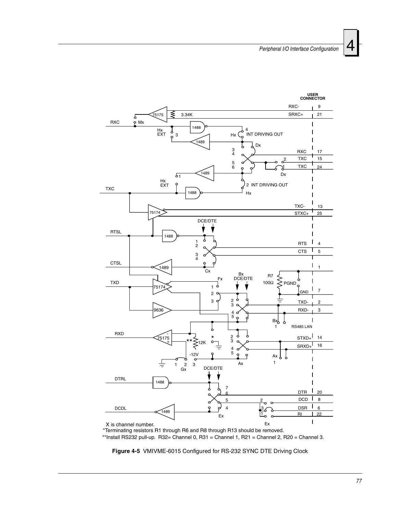

\*Terminating resistors R1 through R6 and R8 through R13 should be removed.

<span id="page-76-0"></span>\*\*Install RS232 pull-up. R32= Channel 0, R31 = Channel 1, R21 = Channel 2, R20 = Channel 3.

**Figure 4-5** VMIVME-6015 Configured for RS-232 SYNC DTE Driving Clock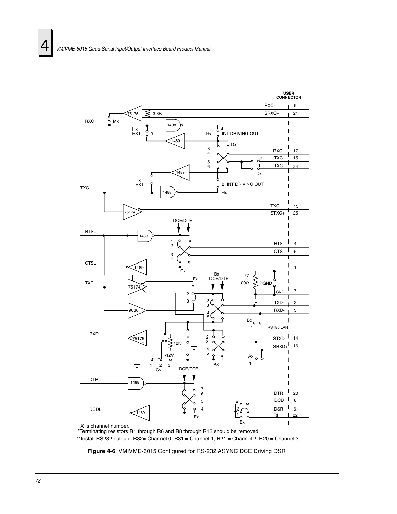

\*Terminating resistors R1 through R6 and R8 through R13 should be removed.

<span id="page-77-0"></span>\*\*Install RS232 pull-up. R32= Channel 0, R31 = Channel 1, R21 = Channel 2, R20 = Channel 3.

**Figure 4-6** VMIVME-6015 Configured for RS-232 ASYNC DCE Driving DSR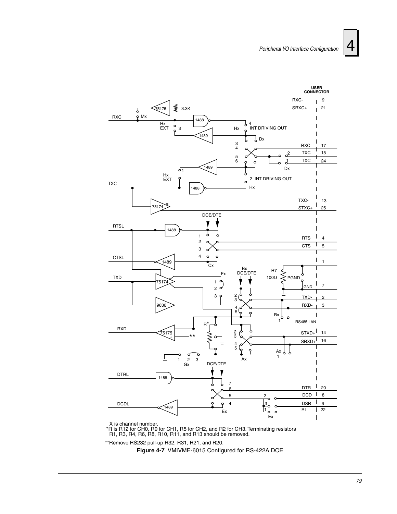

X is channel number.

\*R is R12 for CH0, R9 for CH1, R5 for CH2, and R2 for CH3. Terminating resistors R1, R3, R4, R6, R8, R10, R11, and R13 should be removed.

<span id="page-78-0"></span>\*\*Remove RS232 pull-up R32, R31, R21, and R20.

**Figure 4-7** VMIVME-6015 Configured for RS-422A DCE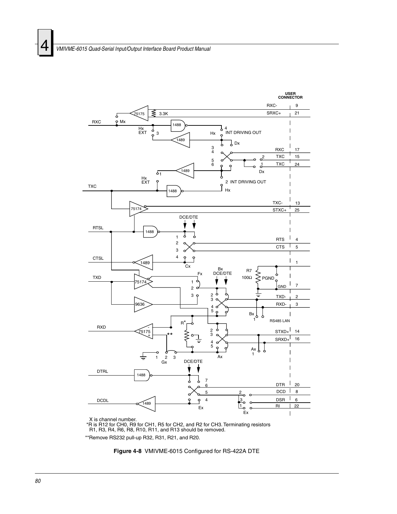

X is channel number. \*R is R12 for CH0, R9 for CH1, R5 for CH2, and R2 for CH3. Terminating resistors R1, R3, R4, R6, R8, R10, R11, and R13 should be removed.

<span id="page-79-0"></span>\*\*Remove RS232 pull-up R32, R31, R21, and R20.

**Figure 4-8** VMIVME-6015 Configured for RS-422A DTE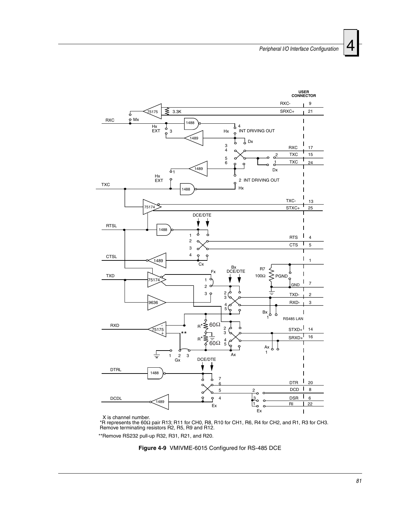

 X is channel number. \*R represents the 60Ω pair R13; R11 for CH0, R8, R10 for CH1, R6, R4 for CH2, and R1, R3 for CH3. Remove terminating resistors R2, R5, R9 and R12.

<span id="page-80-0"></span>\*\*Remove RS232 pull-up R32, R31, R21, and R20.

**Figure 4-9** VMIVME-6015 Configured for RS-485 DCE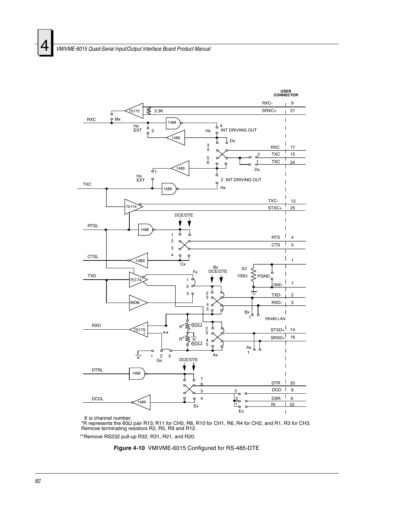

 X is channel number. \*R represents the 60Ω pair R13; R11 for CH0, R8, R10 for CH1, R6, R4 for CH2, and R1, R3 for CH3. Remove terminating resistors R2, R5, R9 and R12.

<span id="page-81-0"></span>\*\*Remove RS232 pull-up R32, R31, R21, and R20.

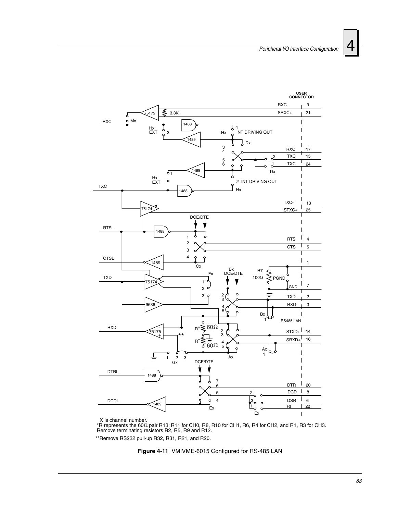



 X is channel number. \*R represents the 60Ω pair R13; R11 for CH0, R8, R10 for CH1, R6, R4 for CH2, and R1, R3 for CH3. Remove terminating resistors R2, R5, R9 and R12.

<span id="page-82-0"></span>\*\*Remove RS232 pull-up R32, R31, R21, and R20.

**Figure 4-11** VMIVME-6015 Configured for RS-485 LAN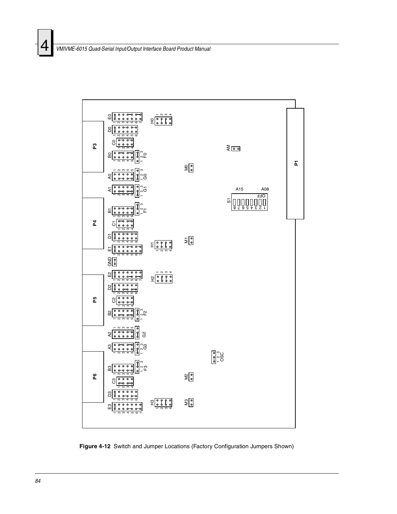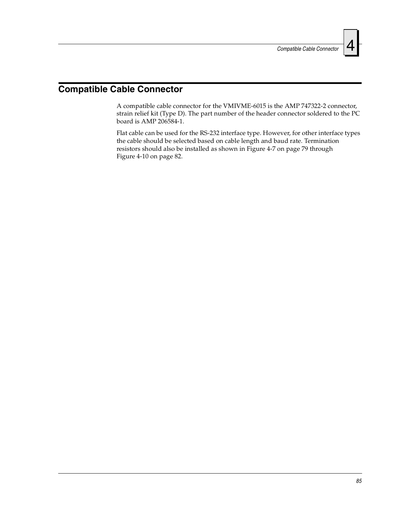## **Compatible Cable Connector**

A compatible cable connector for the VMIVME-6015 is the AMP 747322-2 connector, strain relief kit (Type D). The part number of the header connector soldered to the PC board is AMP 206584-1.

Flat cable can be used for the RS-232 interface type. However, for other interface types the cable should be selected based on cable length and baud rate. Termination resistors should also be installed as shown in [Figure 4-7 on page 79](#page-78-0) through [Figure 4-10 on page 82.](#page-81-0)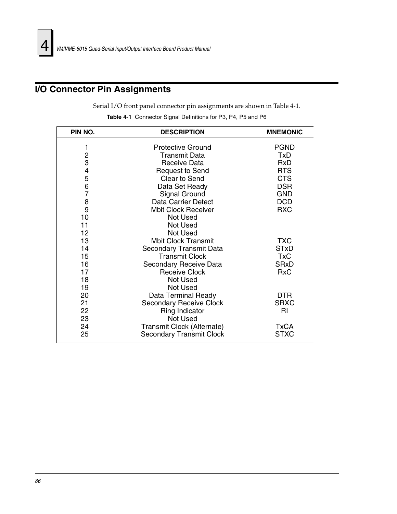# **I/O Connector Pin Assignments**

Serial I/O front panel connector pin assignments are shown in [Table 4-1](#page-85-0).

<span id="page-85-0"></span>

| PIN NO.       | <b>DESCRIPTION</b>                             | <b>MNEMONIC</b>        |
|---------------|------------------------------------------------|------------------------|
| 1             | <b>Protective Ground</b>                       | <b>PGND</b>            |
|               | <b>Transmit Data</b>                           | <b>TxD</b>             |
|               | Receive Data                                   | <b>RxD</b>             |
|               |                                                | <b>RTS</b>             |
|               | <b>Request to Send</b><br><b>Clear to Send</b> | <b>CTS</b>             |
|               |                                                |                        |
| 234567        | Data Set Ready                                 | <b>DSR</b>             |
|               | <b>Signal Ground</b>                           | <b>GND</b>             |
| $\frac{8}{9}$ | <b>Data Carrier Detect</b>                     | <b>DCD</b>             |
|               | <b>Mbit Clock Receiver</b>                     | <b>RXC</b>             |
| 10            | Not Used                                       |                        |
| 11            | Not Used                                       |                        |
| 12            | Not Used                                       |                        |
| 13            | <b>Mbit Clock Transmit</b>                     | <b>TXC</b>             |
| 14            | Secondary Transmit Data                        | <b>ST<sub>x</sub>D</b> |
| 15            | <b>Transmit Clock</b>                          | <b>TxC</b>             |
| 16            | Secondary Receive Data                         | <b>SR<sub>x</sub>D</b> |
| 17            | <b>Receive Clock</b>                           | <b>RxC</b>             |
| 18            | Not Used                                       |                        |
| 19            | Not Used                                       |                        |
| 20            | Data Terminal Ready                            | <b>DTR</b>             |
| 21            | <b>Secondary Receive Clock</b>                 | <b>SRXC</b>            |
| 22            | Ring Indicator                                 | R <sub>l</sub>         |
| 23            | Not Used                                       |                        |
| 24            | Transmit Clock (Alternate)                     | <b>TxCA</b>            |
| 25            | <b>Secondary Transmit Clock</b>                | <b>STXC</b>            |
|               |                                                |                        |

**Table 4-1** Connector Signal Definitions for P3, P4, P5 and P6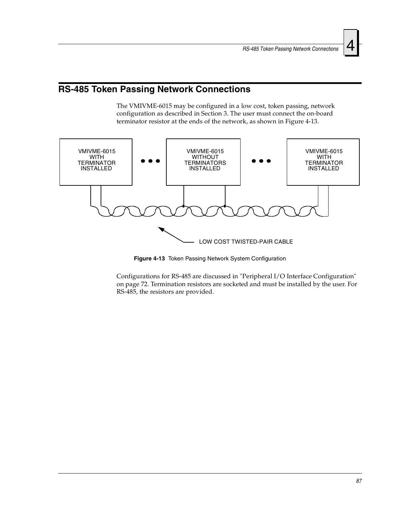## **RS-485 Token Passing Network Connections**

The VMIVME-6015 may be configured in a low cost, token passing, network configuration as described in Section 3. The user must connect the on-board terminator resistor at the ends of the network, as shown in [Figure 4-13.](#page-86-0)



**Figure 4-13** Token Passing Network System Configuration

<span id="page-86-0"></span>Configurations for RS-485 are discussed in ["Peripheral I/O Interface Configuration"](#page-71-0)  [on page 72](#page-71-0). Termination resistors are socketed and must be installed by the user. For RS-485, the resistors are provided.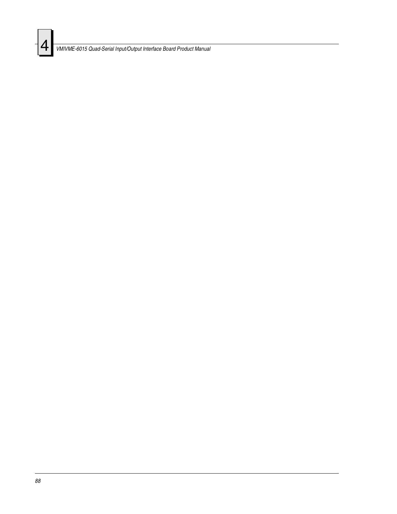*VMIVME-6015 Quad-Serial Input/Output Interface Board Product Manual*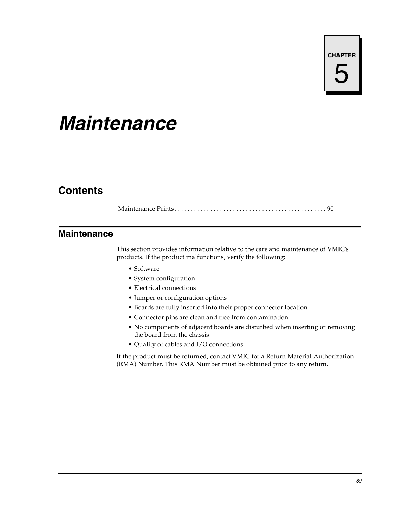# *Maintenance*

# **Contents**

 [Maintenance Prints . . . . . . . . . . . . . . . . . . . . . . . . . . . . . . . . . . . . . . . . . . . . . . . 90](#page-89-0)

## **Maintenance**

This section provides information relative to the care and maintenance of VMIC's products. If the product malfunctions, verify the following:

- Software
- System configuration
- Electrical connections
- Jumper or configuration options
- Boards are fully inserted into their proper connector location
- Connector pins are clean and free from contamination
- No components of adjacent boards are disturbed when inserting or removing the board from the chassis
- Quality of cables and I/O connections

If the product must be returned, contact VMIC for a Return Material Authorization (RMA) Number. This RMA Number must be obtained prior to any return.